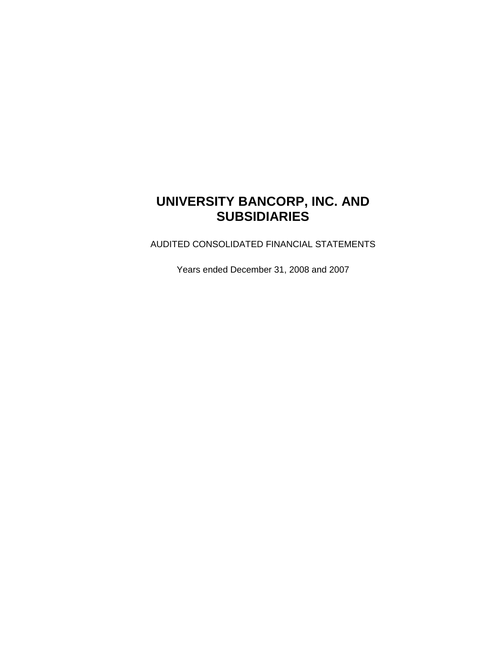# **UNIVERSITY BANCORP, INC. AND SUBSIDIARIES**

AUDITED CONSOLIDATED FINANCIAL STATEMENTS

Years ended December 31, 2008 and 2007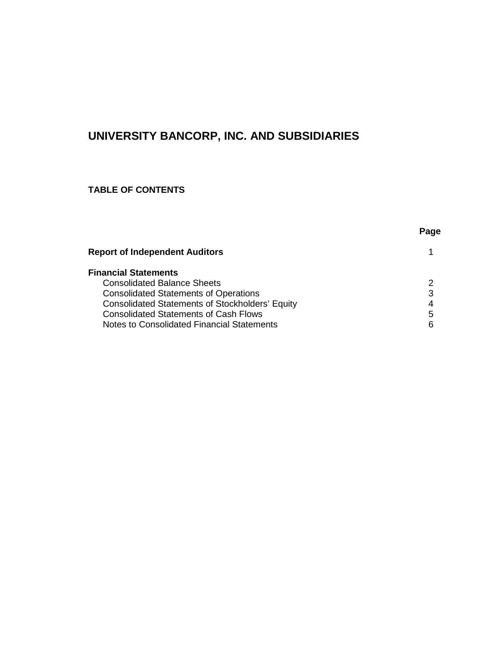# **UNIVERSITY BANCORP, INC. AND SUBSIDIARIES**

# **TABLE OF CONTENTS**

| . .<br>×<br>×<br>۰.<br>M<br>۰. |
|--------------------------------|
|--------------------------------|

| $\mathcal{P}$ |
|---------------|
| 3             |
| 4             |
| 5             |
| 6             |
|               |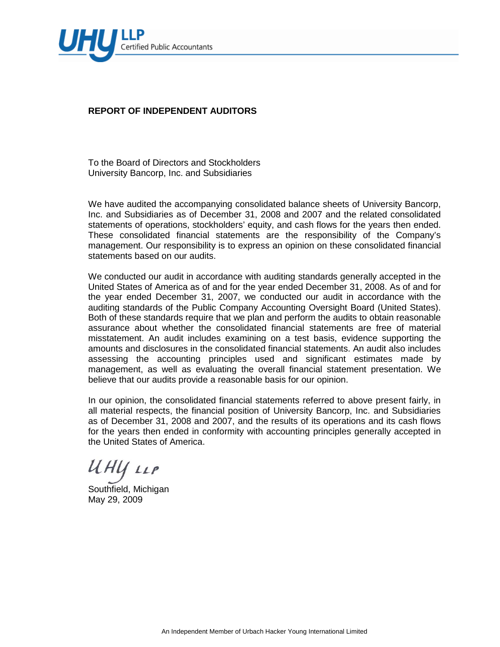

# **REPORT OF INDEPENDENT AUDITORS**

To the Board of Directors and Stockholders University Bancorp, Inc. and Subsidiaries

We have audited the accompanying consolidated balance sheets of University Bancorp, Inc. and Subsidiaries as of December 31, 2008 and 2007 and the related consolidated statements of operations, stockholders' equity, and cash flows for the years then ended. These consolidated financial statements are the responsibility of the Company's management. Our responsibility is to express an opinion on these consolidated financial statements based on our audits.

We conducted our audit in accordance with auditing standards generally accepted in the United States of America as of and for the year ended December 31, 2008. As of and for the year ended December 31, 2007, we conducted our audit in accordance with the auditing standards of the Public Company Accounting Oversight Board (United States). Both of these standards require that we plan and perform the audits to obtain reasonable assurance about whether the consolidated financial statements are free of material misstatement. An audit includes examining on a test basis, evidence supporting the amounts and disclosures in the consolidated financial statements. An audit also includes assessing the accounting principles used and significant estimates made by management, as well as evaluating the overall financial statement presentation. We believe that our audits provide a reasonable basis for our opinion.

In our opinion, the consolidated financial statements referred to above present fairly, in all material respects, the financial position of University Bancorp, Inc. and Subsidiaries as of December 31, 2008 and 2007, and the results of its operations and its cash flows for the years then ended in conformity with accounting principles generally accepted in the United States of America.

UHY LLP

Southfield, Michigan May 29, 2009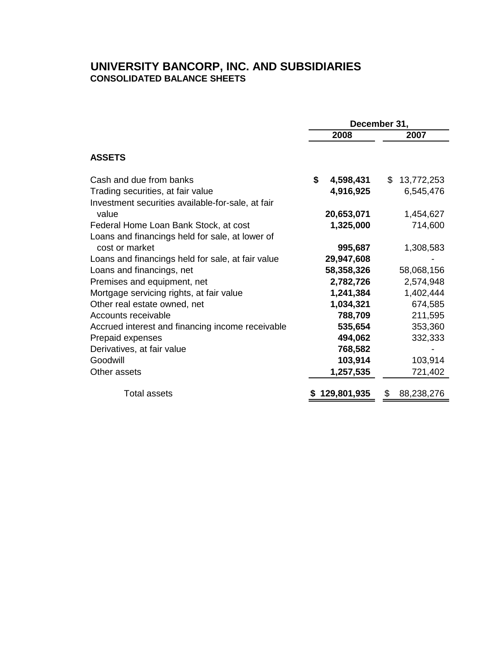# **UNIVERSITY BANCORP, INC. AND SUBSIDIARIES CONSOLIDATED BALANCE SHEETS**

|                                                   | December 31,    |                 |  |  |
|---------------------------------------------------|-----------------|-----------------|--|--|
|                                                   | 2008            | 2007            |  |  |
| <b>ASSETS</b>                                     |                 |                 |  |  |
| Cash and due from banks                           | \$<br>4,598,431 | \$13,772,253    |  |  |
| Trading securities, at fair value                 | 4,916,925       | 6,545,476       |  |  |
| Investment securities available-for-sale, at fair |                 |                 |  |  |
| value                                             | 20,653,071      | 1,454,627       |  |  |
| Federal Home Loan Bank Stock, at cost             | 1,325,000       | 714,600         |  |  |
| Loans and financings held for sale, at lower of   |                 |                 |  |  |
| cost or market                                    | 995,687         | 1,308,583       |  |  |
| Loans and financings held for sale, at fair value | 29,947,608      |                 |  |  |
| Loans and financings, net                         | 58,358,326      | 58,068,156      |  |  |
| Premises and equipment, net                       | 2,782,726       | 2,574,948       |  |  |
| Mortgage servicing rights, at fair value          | 1,241,384       | 1,402,444       |  |  |
| Other real estate owned, net                      | 1,034,321       | 674,585         |  |  |
| Accounts receivable                               | 788,709         | 211,595         |  |  |
| Accrued interest and financing income receivable  | 535,654         | 353,360         |  |  |
| Prepaid expenses                                  | 494,062         | 332,333         |  |  |
| Derivatives, at fair value                        | 768,582         |                 |  |  |
| Goodwill                                          | 103,914         | 103,914         |  |  |
| Other assets                                      | 1,257,535       | 721,402         |  |  |
| <b>Total assets</b>                               | 129,801,935     | 88,238,276<br>S |  |  |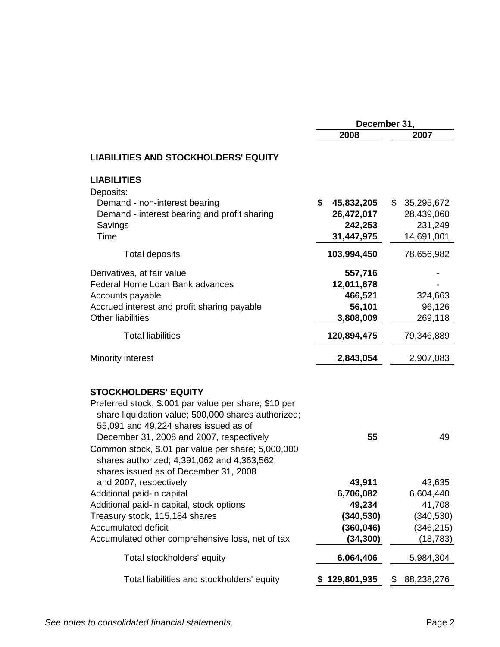|                                                                                                                                                                                                                                                                                                                                                                                                         | December 31,                                            |                                                         |  |  |
|---------------------------------------------------------------------------------------------------------------------------------------------------------------------------------------------------------------------------------------------------------------------------------------------------------------------------------------------------------------------------------------------------------|---------------------------------------------------------|---------------------------------------------------------|--|--|
|                                                                                                                                                                                                                                                                                                                                                                                                         | 2008                                                    | 2007                                                    |  |  |
| <b>LIABILITIES AND STOCKHOLDERS' EQUITY</b>                                                                                                                                                                                                                                                                                                                                                             |                                                         |                                                         |  |  |
| <b>LIABILITIES</b><br>Deposits:<br>Demand - non-interest bearing<br>Demand - interest bearing and profit sharing<br>Savings<br>Time                                                                                                                                                                                                                                                                     | \$<br>45,832,205<br>26,472,017<br>242,253<br>31,447,975 | \$<br>35,295,672<br>28,439,060<br>231,249<br>14,691,001 |  |  |
| <b>Total deposits</b>                                                                                                                                                                                                                                                                                                                                                                                   | 103,994,450                                             | 78,656,982                                              |  |  |
| Derivatives, at fair value<br>Federal Home Loan Bank advances<br>Accounts payable<br>Accrued interest and profit sharing payable<br>Other liabilities                                                                                                                                                                                                                                                   | 557,716<br>12,011,678<br>466,521<br>56,101<br>3,808,009 | 324,663<br>96,126<br>269,118                            |  |  |
| <b>Total liabilities</b>                                                                                                                                                                                                                                                                                                                                                                                | 120,894,475                                             | 79,346,889                                              |  |  |
| Minority interest                                                                                                                                                                                                                                                                                                                                                                                       | 2,843,054                                               | 2,907,083                                               |  |  |
| <b>STOCKHOLDERS' EQUITY</b><br>Preferred stock, \$.001 par value per share; \$10 per<br>share liquidation value; 500,000 shares authorized;<br>55,091 and 49,224 shares issued as of<br>December 31, 2008 and 2007, respectively<br>Common stock, \$.01 par value per share; 5,000,000<br>shares authorized; 4,391,062 and 4,363,562<br>shares issued as of December 31, 2008<br>and 2007, respectively | 55<br>43,911                                            | 49<br>43,635                                            |  |  |
| Additional paid-in capital                                                                                                                                                                                                                                                                                                                                                                              | 6,706,082                                               | 6,604,440                                               |  |  |
| Additional paid-in capital, stock options                                                                                                                                                                                                                                                                                                                                                               | 49,234                                                  | 41,708                                                  |  |  |
| Treasury stock, 115,184 shares<br><b>Accumulated deficit</b>                                                                                                                                                                                                                                                                                                                                            | (340, 530)<br>(360, 046)                                | (340, 530)<br>(346, 215)                                |  |  |
| Accumulated other comprehensive loss, net of tax                                                                                                                                                                                                                                                                                                                                                        | (34, 300)                                               | (18, 783)                                               |  |  |
| Total stockholders' equity                                                                                                                                                                                                                                                                                                                                                                              | 6,064,406                                               | 5,984,304                                               |  |  |
| Total liabilities and stockholders' equity                                                                                                                                                                                                                                                                                                                                                              | 129,801,935                                             | 88,238,276<br>\$                                        |  |  |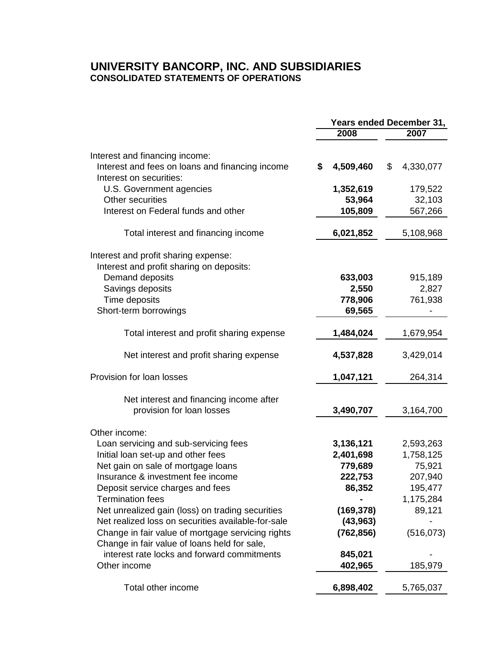# **UNIVERSITY BANCORP, INC. AND SUBSIDIARIES CONSOLIDATED STATEMENTS OF OPERATIONS**

|                                                                                                              | <b>Years ended December 31,</b> |                 |  |
|--------------------------------------------------------------------------------------------------------------|---------------------------------|-----------------|--|
|                                                                                                              | 2008                            | 2007            |  |
|                                                                                                              |                                 |                 |  |
| Interest and financing income:<br>Interest and fees on loans and financing income<br>Interest on securities: | 4,509,460<br>\$                 | 4,330,077<br>\$ |  |
| U.S. Government agencies                                                                                     | 1,352,619                       | 179,522         |  |
| Other securities                                                                                             | 53,964                          | 32,103          |  |
| Interest on Federal funds and other                                                                          | 105,809                         | 567,266         |  |
| Total interest and financing income                                                                          | 6,021,852                       | 5,108,968       |  |
| Interest and profit sharing expense:                                                                         |                                 |                 |  |
| Interest and profit sharing on deposits:<br>Demand deposits                                                  | 633,003                         | 915,189         |  |
| Savings deposits                                                                                             | 2,550                           | 2,827           |  |
| Time deposits                                                                                                | 778,906                         | 761,938         |  |
| Short-term borrowings                                                                                        | 69,565                          |                 |  |
| Total interest and profit sharing expense                                                                    | 1,484,024                       | 1,679,954       |  |
| Net interest and profit sharing expense                                                                      | 4,537,828                       | 3,429,014       |  |
| Provision for loan losses                                                                                    | 1,047,121                       | 264,314         |  |
| Net interest and financing income after<br>provision for loan losses                                         | 3,490,707                       | 3,164,700       |  |
| Other income:                                                                                                |                                 |                 |  |
| Loan servicing and sub-servicing fees                                                                        | 3,136,121                       | 2,593,263       |  |
| Initial loan set-up and other fees                                                                           | 2,401,698                       | 1,758,125       |  |
| Net gain on sale of mortgage loans                                                                           | 779,689                         | 75,921          |  |
| Insurance & investment fee income                                                                            | 222,753                         | 207,940         |  |
| Deposit service charges and fees                                                                             | 86,352                          | 195,477         |  |
| <b>Termination fees</b>                                                                                      |                                 | 1,175,284       |  |
| Net unrealized gain (loss) on trading securities                                                             | (169, 378)                      | 89,121          |  |
| Net realized loss on securities available-for-sale                                                           | (43, 963)                       |                 |  |
| Change in fair value of mortgage servicing rights                                                            | (762, 856)                      | (516, 073)      |  |
| Change in fair value of loans held for sale,<br>interest rate locks and forward commitments                  |                                 |                 |  |
| Other income                                                                                                 | 845,021<br>402,965              | 185,979         |  |
| Total other income                                                                                           | 6,898,402                       | 5,765,037       |  |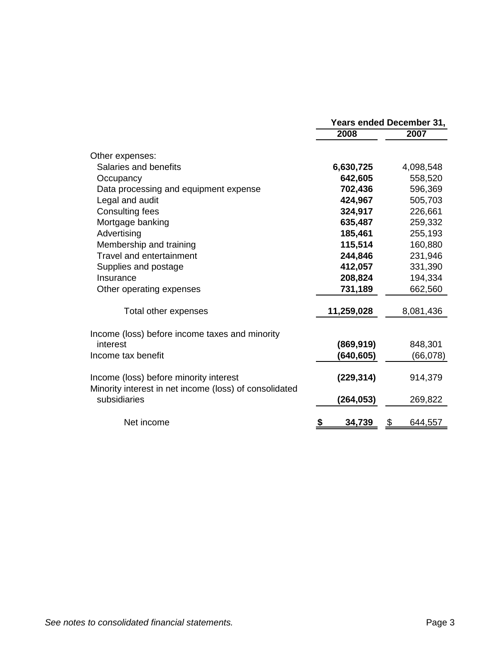|                                                                                                  | Years ended December 31, |               |  |  |
|--------------------------------------------------------------------------------------------------|--------------------------|---------------|--|--|
|                                                                                                  | 2008                     | 2007          |  |  |
| Other expenses:                                                                                  |                          |               |  |  |
| Salaries and benefits                                                                            | 6,630,725                | 4,098,548     |  |  |
| Occupancy                                                                                        | 642,605                  | 558,520       |  |  |
| Data processing and equipment expense                                                            | 702,436                  | 596,369       |  |  |
| Legal and audit                                                                                  | 424,967                  | 505,703       |  |  |
| <b>Consulting fees</b>                                                                           | 324,917                  | 226,661       |  |  |
| Mortgage banking                                                                                 | 635,487                  | 259,332       |  |  |
| Advertising                                                                                      | 185,461                  | 255,193       |  |  |
| Membership and training                                                                          | 115,514                  | 160,880       |  |  |
| <b>Travel and entertainment</b>                                                                  | 244,846                  | 231,946       |  |  |
| Supplies and postage                                                                             | 412,057                  | 331,390       |  |  |
| Insurance                                                                                        | 208,824                  | 194,334       |  |  |
| Other operating expenses                                                                         | 731,189                  | 662,560       |  |  |
| Total other expenses                                                                             | 11,259,028               | 8,081,436     |  |  |
| Income (loss) before income taxes and minority                                                   |                          |               |  |  |
| interest                                                                                         | (869, 919)               | 848,301       |  |  |
| Income tax benefit                                                                               | (640, 605)               | (66,078)      |  |  |
| Income (loss) before minority interest<br>Minority interest in net income (loss) of consolidated | (229, 314)               | 914,379       |  |  |
| subsidiaries                                                                                     | (264, 053)               | 269,822       |  |  |
| Net income                                                                                       | 34,739                   | \$<br>644,557 |  |  |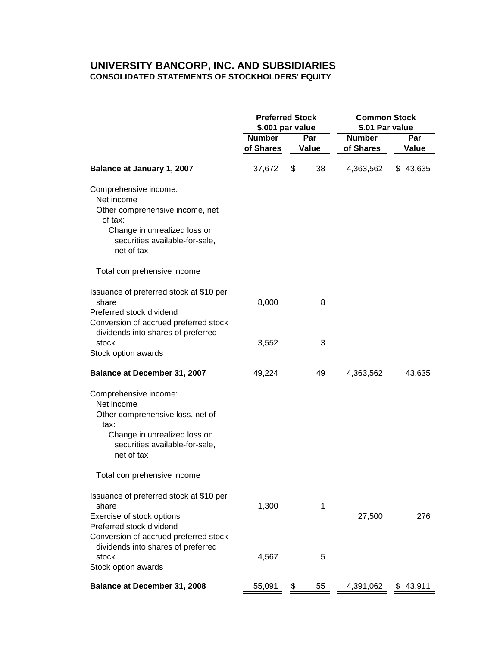## **UNIVERSITY BANCORP, INC. AND SUBSIDIARIES CONSOLIDATED STATEMENTS OF STOCKHOLDERS' EQUITY**

|                                                                                                                                                                   | <b>Preferred Stock</b><br>\$.001 par value |    | <b>Common Stock</b><br>\$.01 Par value |                            |              |
|-------------------------------------------------------------------------------------------------------------------------------------------------------------------|--------------------------------------------|----|----------------------------------------|----------------------------|--------------|
|                                                                                                                                                                   | <b>Number</b><br>of Shares                 |    | Par<br>Value                           | <b>Number</b><br>of Shares | Par<br>Value |
| Balance at January 1, 2007                                                                                                                                        | 37,672                                     | \$ | 38                                     | 4,363,562                  | \$43,635     |
| Comprehensive income:<br>Net income<br>Other comprehensive income, net<br>of tax:<br>Change in unrealized loss on<br>securities available-for-sale,<br>net of tax |                                            |    |                                        |                            |              |
| Total comprehensive income                                                                                                                                        |                                            |    |                                        |                            |              |
| Issuance of preferred stock at \$10 per<br>share<br>Preferred stock dividend<br>Conversion of accrued preferred stock                                             | 8,000                                      |    | 8                                      |                            |              |
| dividends into shares of preferred<br>stock<br>Stock option awards                                                                                                | 3,552                                      |    | 3                                      |                            |              |
| Balance at December 31, 2007                                                                                                                                      | 49,224                                     |    | 49                                     | 4,363,562                  | 43,635       |
| Comprehensive income:<br>Net income<br>Other comprehensive loss, net of<br>tax:<br>Change in unrealized loss on<br>securities available-for-sale,<br>net of tax   |                                            |    |                                        |                            |              |
| Total comprehensive income                                                                                                                                        |                                            |    |                                        |                            |              |
| Issuance of preferred stock at \$10 per<br>share<br>Exercise of stock options<br>Preferred stock dividend<br>Conversion of accrued preferred stock                | 1,300                                      |    | 1                                      | 27,500                     | 276          |
| dividends into shares of preferred<br>stock<br>Stock option awards                                                                                                | 4,567                                      |    | 5                                      |                            |              |
| Balance at December 31, 2008                                                                                                                                      | 55,091                                     | \$ | 55                                     | 4,391,062                  | 43,911<br>\$ |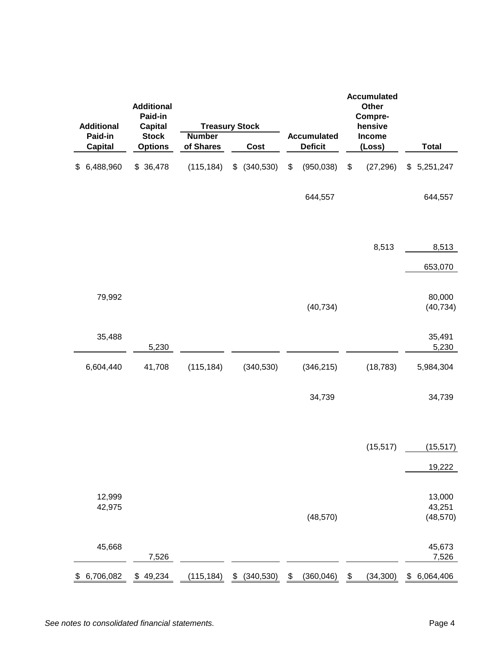| <b>Additional</b> | <b>Additional</b><br>Paid-in<br><b>Capital</b> |                            | <b>Treasury Stock</b>       |                                      | <b>Accumulated</b><br><b>Other</b><br>Compre-<br>hensive |                               |
|-------------------|------------------------------------------------|----------------------------|-----------------------------|--------------------------------------|----------------------------------------------------------|-------------------------------|
| Paid-in           | <b>Stock</b>                                   | <b>Number</b><br>of Shares |                             | <b>Accumulated</b><br><b>Deficit</b> | Income                                                   | <b>Total</b>                  |
| <b>Capital</b>    | <b>Options</b>                                 |                            | Cost                        |                                      | (Loss)                                                   |                               |
| 6,488,960<br>\$   | \$36,478                                       | (115, 184)                 | (340, 530)<br>\$            | \$<br>(950, 038)                     | \$<br>(27, 296)                                          | \$5,251,247                   |
|                   |                                                |                            |                             | 644,557                              |                                                          | 644,557                       |
|                   |                                                |                            |                             |                                      | 8,513                                                    | 8,513                         |
|                   |                                                |                            |                             |                                      |                                                          | 653,070                       |
| 79,992            |                                                |                            |                             | (40, 734)                            |                                                          | 80,000<br>(40, 734)           |
| 35,488            | 5,230                                          |                            |                             |                                      |                                                          | 35,491<br>5,230               |
| 6,604,440         | 41,708                                         | (115, 184)                 | (340, 530)                  | (346, 215)                           | (18, 783)                                                | 5,984,304                     |
|                   |                                                |                            |                             | 34,739                               |                                                          | 34,739                        |
|                   |                                                |                            |                             |                                      | (15, 517)                                                | (15, 517)                     |
|                   |                                                |                            |                             |                                      |                                                          | 19,222                        |
| 12,999<br>42,975  |                                                |                            |                             | (48, 570)                            |                                                          | 13,000<br>43,251<br>(48, 570) |
| 45,668            | 7,526                                          |                            |                             |                                      |                                                          | 45,673<br>7,526               |
| 6,706,082<br>\$   | 49,234<br><u>\$</u>                            | (115, 184)                 | $\sqrt[6]{2}$<br>(340, 530) | $\frac{1}{2}$<br>(360, 046)          | $\frac{1}{2}$<br>(34, 300)                               | $\frac{1}{2}$<br>6,064,406    |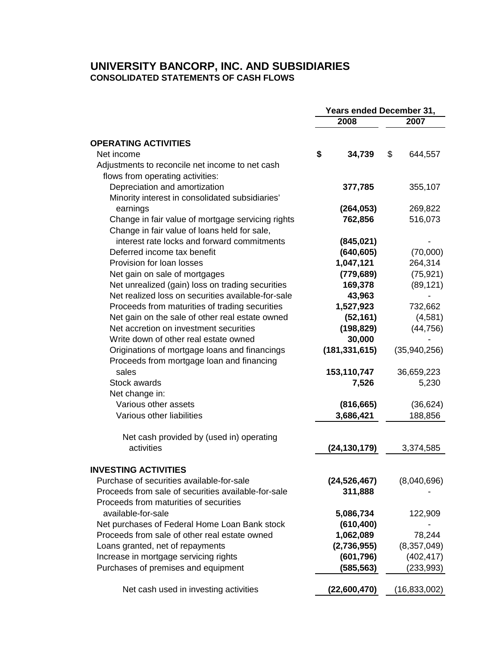## **UNIVERSITY BANCORP, INC. AND SUBSIDIARIES CONSOLIDATED STATEMENTS OF CASH FLOWS**

|                                                     | <b>Years ended December 31,</b> |                 |    |                |  |
|-----------------------------------------------------|---------------------------------|-----------------|----|----------------|--|
|                                                     | 2008                            |                 |    | 2007           |  |
| <b>OPERATING ACTIVITIES</b>                         |                                 |                 |    |                |  |
| Net income                                          | \$                              | 34,739          | \$ | 644,557        |  |
| Adjustments to reconcile net income to net cash     |                                 |                 |    |                |  |
| flows from operating activities:                    |                                 |                 |    |                |  |
| Depreciation and amortization                       |                                 | 377,785         |    | 355,107        |  |
| Minority interest in consolidated subsidiaries'     |                                 |                 |    |                |  |
| earnings                                            |                                 | (264, 053)      |    | 269,822        |  |
| Change in fair value of mortgage servicing rights   |                                 | 762,856         |    | 516,073        |  |
| Change in fair value of loans held for sale,        |                                 |                 |    |                |  |
| interest rate locks and forward commitments         |                                 | (845, 021)      |    |                |  |
| Deferred income tax benefit                         |                                 | (640, 605)      |    | (70,000)       |  |
| Provision for loan losses                           |                                 | 1,047,121       |    | 264,314        |  |
| Net gain on sale of mortgages                       |                                 | (779, 689)      |    | (75, 921)      |  |
| Net unrealized (gain) loss on trading securities    |                                 | 169,378         |    | (89, 121)      |  |
| Net realized loss on securities available-for-sale  |                                 | 43,963          |    |                |  |
| Proceeds from maturities of trading securities      |                                 | 1,527,923       |    | 732,662        |  |
| Net gain on the sale of other real estate owned     |                                 | (52, 161)       |    | (4,581)        |  |
| Net accretion on investment securities              |                                 | (198, 829)      |    | (44, 756)      |  |
| Write down of other real estate owned               |                                 | 30,000          |    |                |  |
| Originations of mortgage loans and financings       |                                 | (181, 331, 615) |    | (35,940,256)   |  |
| Proceeds from mortgage loan and financing           |                                 |                 |    |                |  |
| sales                                               |                                 | 153,110,747     |    | 36,659,223     |  |
| Stock awards                                        |                                 | 7,526           |    | 5,230          |  |
| Net change in:                                      |                                 |                 |    |                |  |
| Various other assets                                |                                 | (816, 665)      |    | (36, 624)      |  |
| Various other liabilities                           |                                 | 3,686,421       |    | 188,856        |  |
| Net cash provided by (used in) operating            |                                 |                 |    |                |  |
| activities                                          |                                 | (24, 130, 179)  |    | 3,374,585      |  |
|                                                     |                                 |                 |    |                |  |
| <b>INVESTING ACTIVITIES</b>                         |                                 |                 |    |                |  |
| Purchase of securities available-for-sale           |                                 | (24, 526, 467)  |    | (8,040,696)    |  |
| Proceeds from sale of securities available-for-sale |                                 | 311,888         |    |                |  |
| Proceeds from maturities of securities              |                                 |                 |    |                |  |
| available-for-sale                                  |                                 | 5,086,734       |    | 122,909        |  |
| Net purchases of Federal Home Loan Bank stock       |                                 | (610, 400)      |    |                |  |
| Proceeds from sale of other real estate owned       |                                 | 1,062,089       |    | 78,244         |  |
| Loans granted, net of repayments                    |                                 | (2,736,955)     |    | (8, 357, 049)  |  |
| Increase in mortgage servicing rights               |                                 | (601, 796)      |    | (402, 417)     |  |
| Purchases of premises and equipment                 |                                 | (585, 563)      |    | (233, 993)     |  |
| Net cash used in investing activities               |                                 | (22,600,470)    |    | (16, 833, 002) |  |
|                                                     |                                 |                 |    |                |  |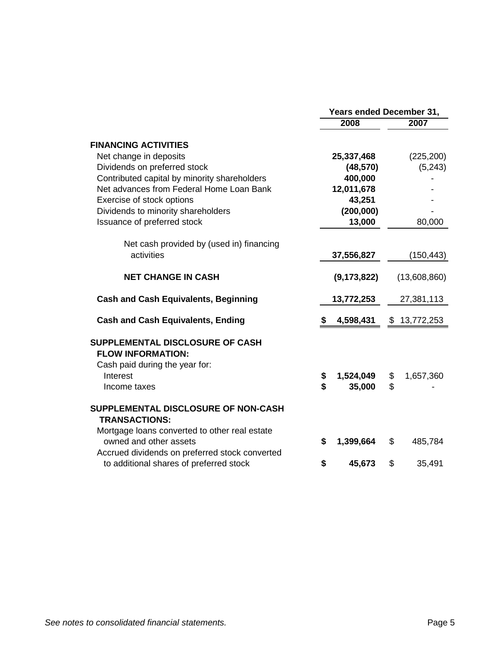|                                                                                                              | Years ended December 31, |               |    |              |
|--------------------------------------------------------------------------------------------------------------|--------------------------|---------------|----|--------------|
|                                                                                                              |                          | 2008          |    | 2007         |
| <b>FINANCING ACTIVITIES</b>                                                                                  |                          |               |    |              |
| Net change in deposits                                                                                       |                          | 25,337,468    |    | (225, 200)   |
| Dividends on preferred stock                                                                                 |                          | (48, 570)     |    | (5, 243)     |
| Contributed capital by minority shareholders                                                                 |                          | 400,000       |    |              |
| Net advances from Federal Home Loan Bank                                                                     |                          | 12,011,678    |    |              |
| Exercise of stock options                                                                                    |                          | 43,251        |    |              |
| Dividends to minority shareholders                                                                           |                          | (200,000)     |    |              |
| Issuance of preferred stock                                                                                  |                          | 13,000        |    | 80,000       |
| Net cash provided by (used in) financing                                                                     |                          |               |    |              |
| activities                                                                                                   |                          | 37,556,827    |    | (150, 443)   |
| <b>NET CHANGE IN CASH</b>                                                                                    |                          | (9, 173, 822) |    | (13,608,860) |
| <b>Cash and Cash Equivalents, Beginning</b>                                                                  |                          | 13,772,253    |    | 27,381,113   |
| <b>Cash and Cash Equivalents, Ending</b>                                                                     | \$                       | 4,598,431     | \$ | 13,772,253   |
| SUPPLEMENTAL DISCLOSURE OF CASH<br><b>FLOW INFORMATION:</b>                                                  |                          |               |    |              |
| Cash paid during the year for:                                                                               |                          |               |    |              |
| Interest                                                                                                     | \$                       | 1,524,049     | \$ | 1,657,360    |
| Income taxes                                                                                                 | \$                       | 35,000        | \$ |              |
| SUPPLEMENTAL DISCLOSURE OF NON-CASH<br><b>TRANSACTIONS:</b><br>Mortgage loans converted to other real estate |                          |               |    |              |
| owned and other assets<br>Accrued dividends on preferred stock converted                                     | S                        | 1,399,664     | \$ | 485,784      |
| to additional shares of preferred stock                                                                      | \$                       | 45,673        | \$ | 35,491       |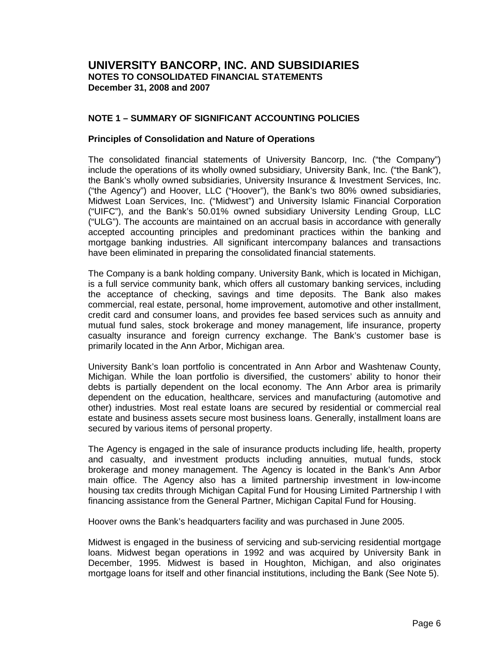## **NOTE 1 – SUMMARY OF SIGNIFICANT ACCOUNTING POLICIES**

#### **Principles of Consolidation and Nature of Operations**

The consolidated financial statements of University Bancorp, Inc. ("the Company") include the operations of its wholly owned subsidiary, University Bank, Inc. ("the Bank"), the Bank's wholly owned subsidiaries, University Insurance & Investment Services, Inc. ("the Agency") and Hoover, LLC ("Hoover"), the Bank's two 80% owned subsidiaries, Midwest Loan Services, Inc. ("Midwest") and University Islamic Financial Corporation ("UIFC"), and the Bank's 50.01% owned subsidiary University Lending Group, LLC ("ULG"). The accounts are maintained on an accrual basis in accordance with generally accepted accounting principles and predominant practices within the banking and mortgage banking industries. All significant intercompany balances and transactions have been eliminated in preparing the consolidated financial statements.

The Company is a bank holding company. University Bank, which is located in Michigan, is a full service community bank, which offers all customary banking services, including the acceptance of checking, savings and time deposits. The Bank also makes commercial, real estate, personal, home improvement, automotive and other installment, credit card and consumer loans, and provides fee based services such as annuity and mutual fund sales, stock brokerage and money management, life insurance, property casualty insurance and foreign currency exchange. The Bank's customer base is primarily located in the Ann Arbor, Michigan area.

University Bank's loan portfolio is concentrated in Ann Arbor and Washtenaw County, Michigan. While the loan portfolio is diversified, the customers' ability to honor their debts is partially dependent on the local economy. The Ann Arbor area is primarily dependent on the education, healthcare, services and manufacturing (automotive and other) industries. Most real estate loans are secured by residential or commercial real estate and business assets secure most business loans. Generally, installment loans are secured by various items of personal property.

The Agency is engaged in the sale of insurance products including life, health, property and casualty, and investment products including annuities, mutual funds, stock brokerage and money management. The Agency is located in the Bank's Ann Arbor main office. The Agency also has a limited partnership investment in low-income housing tax credits through Michigan Capital Fund for Housing Limited Partnership I with financing assistance from the General Partner, Michigan Capital Fund for Housing.

Hoover owns the Bank's headquarters facility and was purchased in June 2005.

Midwest is engaged in the business of servicing and sub-servicing residential mortgage loans. Midwest began operations in 1992 and was acquired by University Bank in December, 1995. Midwest is based in Houghton, Michigan, and also originates mortgage loans for itself and other financial institutions, including the Bank (See Note 5).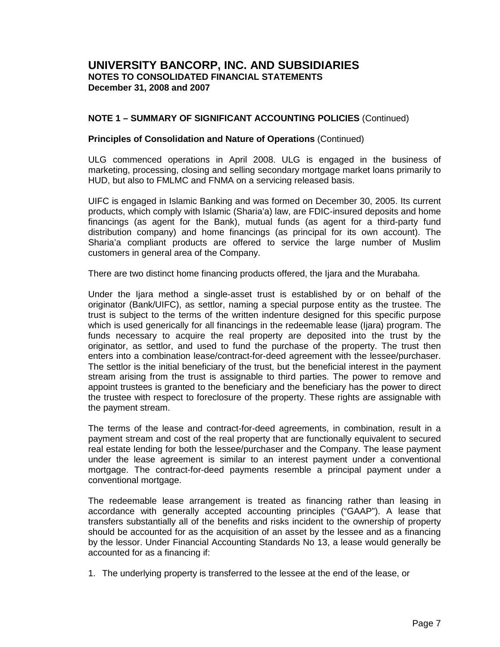## **NOTE 1 – SUMMARY OF SIGNIFICANT ACCOUNTING POLICIES** (Continued)

#### **Principles of Consolidation and Nature of Operations** (Continued)

ULG commenced operations in April 2008. ULG is engaged in the business of marketing, processing, closing and selling secondary mortgage market loans primarily to HUD, but also to FMLMC and FNMA on a servicing released basis.

UIFC is engaged in Islamic Banking and was formed on December 30, 2005. Its current products, which comply with Islamic (Sharia'a) law, are FDIC-insured deposits and home financings (as agent for the Bank), mutual funds (as agent for a third-party fund distribution company) and home financings (as principal for its own account). The Sharia'a compliant products are offered to service the large number of Muslim customers in general area of the Company.

There are two distinct home financing products offered, the Ijara and the Murabaha.

Under the Ijara method a single-asset trust is established by or on behalf of the originator (Bank/UIFC), as settlor, naming a special purpose entity as the trustee. The trust is subject to the terms of the written indenture designed for this specific purpose which is used generically for all financings in the redeemable lease (Ijara) program. The funds necessary to acquire the real property are deposited into the trust by the originator, as settlor, and used to fund the purchase of the property. The trust then enters into a combination lease/contract-for-deed agreement with the lessee/purchaser. The settlor is the initial beneficiary of the trust, but the beneficial interest in the payment stream arising from the trust is assignable to third parties. The power to remove and appoint trustees is granted to the beneficiary and the beneficiary has the power to direct the trustee with respect to foreclosure of the property. These rights are assignable with the payment stream.

The terms of the lease and contract-for-deed agreements, in combination, result in a payment stream and cost of the real property that are functionally equivalent to secured real estate lending for both the lessee/purchaser and the Company. The lease payment under the lease agreement is similar to an interest payment under a conventional mortgage. The contract-for-deed payments resemble a principal payment under a conventional mortgage.

The redeemable lease arrangement is treated as financing rather than leasing in accordance with generally accepted accounting principles ("GAAP"). A lease that transfers substantially all of the benefits and risks incident to the ownership of property should be accounted for as the acquisition of an asset by the lessee and as a financing by the lessor. Under Financial Accounting Standards No 13, a lease would generally be accounted for as a financing if:

1. The underlying property is transferred to the lessee at the end of the lease, or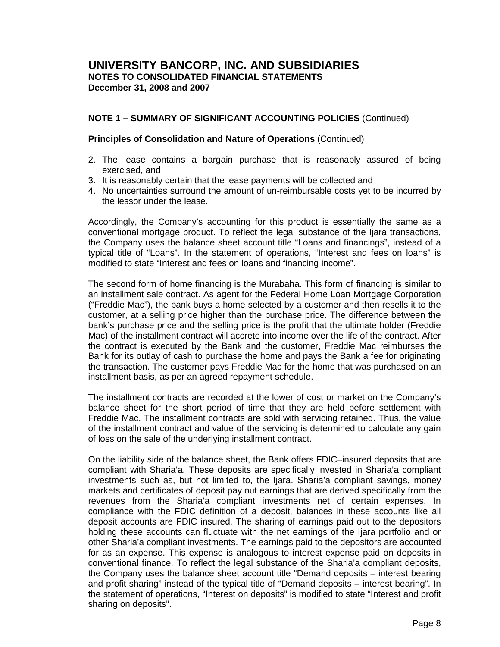## **NOTE 1 – SUMMARY OF SIGNIFICANT ACCOUNTING POLICIES** (Continued)

#### **Principles of Consolidation and Nature of Operations** (Continued)

- 2. The lease contains a bargain purchase that is reasonably assured of being exercised, and
- 3. It is reasonably certain that the lease payments will be collected and
- 4. No uncertainties surround the amount of un-reimbursable costs yet to be incurred by the lessor under the lease.

Accordingly, the Company's accounting for this product is essentially the same as a conventional mortgage product. To reflect the legal substance of the Ijara transactions, the Company uses the balance sheet account title "Loans and financings", instead of a typical title of "Loans". In the statement of operations, "Interest and fees on loans" is modified to state "Interest and fees on loans and financing income".

The second form of home financing is the Murabaha. This form of financing is similar to an installment sale contract. As agent for the Federal Home Loan Mortgage Corporation ("Freddie Mac"), the bank buys a home selected by a customer and then resells it to the customer, at a selling price higher than the purchase price. The difference between the bank's purchase price and the selling price is the profit that the ultimate holder (Freddie Mac) of the installment contract will accrete into income over the life of the contract. After the contract is executed by the Bank and the customer, Freddie Mac reimburses the Bank for its outlay of cash to purchase the home and pays the Bank a fee for originating the transaction. The customer pays Freddie Mac for the home that was purchased on an installment basis, as per an agreed repayment schedule.

The installment contracts are recorded at the lower of cost or market on the Company's balance sheet for the short period of time that they are held before settlement with Freddie Mac. The installment contracts are sold with servicing retained. Thus, the value of the installment contract and value of the servicing is determined to calculate any gain of loss on the sale of the underlying installment contract.

On the liability side of the balance sheet, the Bank offers FDIC–insured deposits that are compliant with Sharia'a. These deposits are specifically invested in Sharia'a compliant investments such as, but not limited to, the Ijara. Sharia'a compliant savings, money markets and certificates of deposit pay out earnings that are derived specifically from the revenues from the Sharia'a compliant investments net of certain expenses. In compliance with the FDIC definition of a deposit, balances in these accounts like all deposit accounts are FDIC insured. The sharing of earnings paid out to the depositors holding these accounts can fluctuate with the net earnings of the Ijara portfolio and or other Sharia'a compliant investments. The earnings paid to the depositors are accounted for as an expense. This expense is analogous to interest expense paid on deposits in conventional finance. To reflect the legal substance of the Sharia'a compliant deposits, the Company uses the balance sheet account title "Demand deposits – interest bearing and profit sharing" instead of the typical title of "Demand deposits – interest bearing". In the statement of operations, "Interest on deposits" is modified to state "Interest and profit sharing on deposits".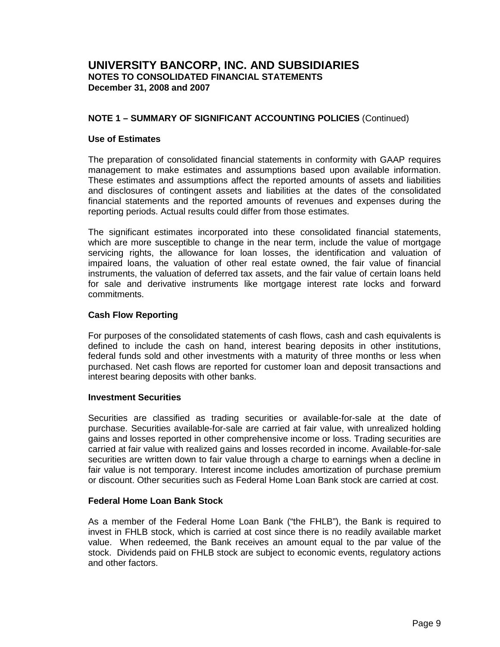## **NOTE 1 – SUMMARY OF SIGNIFICANT ACCOUNTING POLICIES** (Continued)

## **Use of Estimates**

The preparation of consolidated financial statements in conformity with GAAP requires management to make estimates and assumptions based upon available information. These estimates and assumptions affect the reported amounts of assets and liabilities and disclosures of contingent assets and liabilities at the dates of the consolidated financial statements and the reported amounts of revenues and expenses during the reporting periods. Actual results could differ from those estimates.

The significant estimates incorporated into these consolidated financial statements, which are more susceptible to change in the near term, include the value of mortgage servicing rights, the allowance for loan losses, the identification and valuation of impaired loans, the valuation of other real estate owned, the fair value of financial instruments, the valuation of deferred tax assets, and the fair value of certain loans held for sale and derivative instruments like mortgage interest rate locks and forward commitments.

## **Cash Flow Reporting**

For purposes of the consolidated statements of cash flows, cash and cash equivalents is defined to include the cash on hand, interest bearing deposits in other institutions, federal funds sold and other investments with a maturity of three months or less when purchased. Net cash flows are reported for customer loan and deposit transactions and interest bearing deposits with other banks.

## **Investment Securities**

Securities are classified as trading securities or available-for-sale at the date of purchase. Securities available-for-sale are carried at fair value, with unrealized holding gains and losses reported in other comprehensive income or loss. Trading securities are carried at fair value with realized gains and losses recorded in income. Available-for-sale securities are written down to fair value through a charge to earnings when a decline in fair value is not temporary. Interest income includes amortization of purchase premium or discount. Other securities such as Federal Home Loan Bank stock are carried at cost.

## **Federal Home Loan Bank Stock**

As a member of the Federal Home Loan Bank ("the FHLB"), the Bank is required to invest in FHLB stock, which is carried at cost since there is no readily available market value. When redeemed, the Bank receives an amount equal to the par value of the stock. Dividends paid on FHLB stock are subject to economic events, regulatory actions and other factors.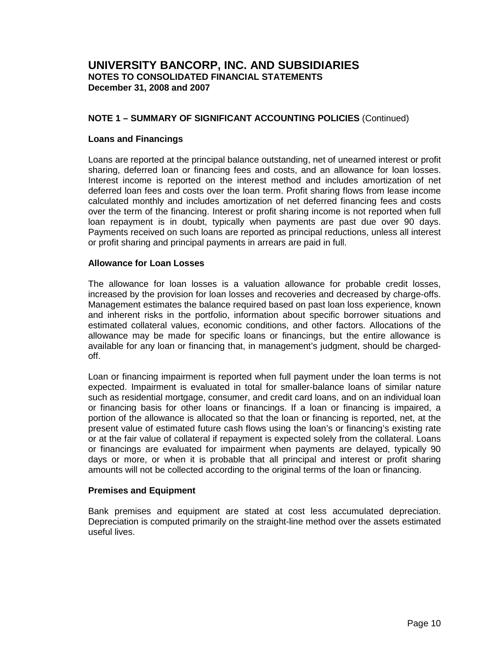## **NOTE 1 – SUMMARY OF SIGNIFICANT ACCOUNTING POLICIES** (Continued)

#### **Loans and Financings**

Loans are reported at the principal balance outstanding, net of unearned interest or profit sharing, deferred loan or financing fees and costs, and an allowance for loan losses. Interest income is reported on the interest method and includes amortization of net deferred loan fees and costs over the loan term. Profit sharing flows from lease income calculated monthly and includes amortization of net deferred financing fees and costs over the term of the financing. Interest or profit sharing income is not reported when full loan repayment is in doubt, typically when payments are past due over 90 days. Payments received on such loans are reported as principal reductions, unless all interest or profit sharing and principal payments in arrears are paid in full.

#### **Allowance for Loan Losses**

The allowance for loan losses is a valuation allowance for probable credit losses, increased by the provision for loan losses and recoveries and decreased by charge-offs. Management estimates the balance required based on past loan loss experience, known and inherent risks in the portfolio, information about specific borrower situations and estimated collateral values, economic conditions, and other factors. Allocations of the allowance may be made for specific loans or financings, but the entire allowance is available for any loan or financing that, in management's judgment, should be chargedoff.

Loan or financing impairment is reported when full payment under the loan terms is not expected. Impairment is evaluated in total for smaller-balance loans of similar nature such as residential mortgage, consumer, and credit card loans, and on an individual loan or financing basis for other loans or financings. If a loan or financing is impaired, a portion of the allowance is allocated so that the loan or financing is reported, net, at the present value of estimated future cash flows using the loan's or financing's existing rate or at the fair value of collateral if repayment is expected solely from the collateral. Loans or financings are evaluated for impairment when payments are delayed, typically 90 days or more, or when it is probable that all principal and interest or profit sharing amounts will not be collected according to the original terms of the loan or financing.

## **Premises and Equipment**

Bank premises and equipment are stated at cost less accumulated depreciation. Depreciation is computed primarily on the straight-line method over the assets estimated useful lives.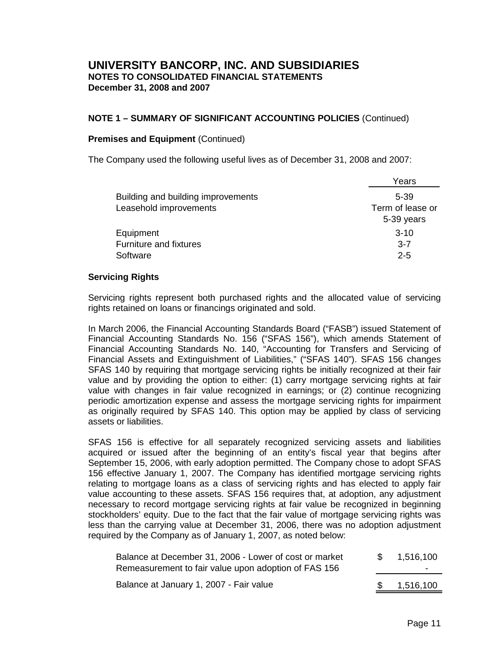## **NOTE 1 – SUMMARY OF SIGNIFICANT ACCOUNTING POLICIES** (Continued)

#### **Premises and Equipment (Continued)**

The Company used the following useful lives as of December 31, 2008 and 2007:

|                                    | Years            |
|------------------------------------|------------------|
| Building and building improvements | $5 - 39$         |
| Leasehold improvements             | Term of lease or |
|                                    | 5-39 years       |
| Equipment                          | $3-10$           |
| Furniture and fixtures             | $3 - 7$          |
| Software                           | $2 - 5$          |

## **Servicing Rights**

Servicing rights represent both purchased rights and the allocated value of servicing rights retained on loans or financings originated and sold.

In March 2006, the Financial Accounting Standards Board ("FASB") issued Statement of Financial Accounting Standards No. 156 ("SFAS 156"), which amends Statement of Financial Accounting Standards No. 140, "Accounting for Transfers and Servicing of Financial Assets and Extinguishment of Liabilities," ("SFAS 140"). SFAS 156 changes SFAS 140 by requiring that mortgage servicing rights be initially recognized at their fair value and by providing the option to either: (1) carry mortgage servicing rights at fair value with changes in fair value recognized in earnings; or (2) continue recognizing periodic amortization expense and assess the mortgage servicing rights for impairment as originally required by SFAS 140. This option may be applied by class of servicing assets or liabilities.

SFAS 156 is effective for all separately recognized servicing assets and liabilities acquired or issued after the beginning of an entity's fiscal year that begins after September 15, 2006, with early adoption permitted. The Company chose to adopt SFAS 156 effective January 1, 2007. The Company has identified mortgage servicing rights relating to mortgage loans as a class of servicing rights and has elected to apply fair value accounting to these assets. SFAS 156 requires that, at adoption, any adjustment necessary to record mortgage servicing rights at fair value be recognized in beginning stockholders' equity. Due to the fact that the fair value of mortgage servicing rights was less than the carrying value at December 31, 2006, there was no adoption adjustment required by the Company as of January 1, 2007, as noted below:

| Balance at December 31, 2006 - Lower of cost or market | 1,516,100 |
|--------------------------------------------------------|-----------|
| Remeasurement to fair value upon adoption of FAS 156   |           |
| Balance at January 1, 2007 - Fair value                | 1,516,100 |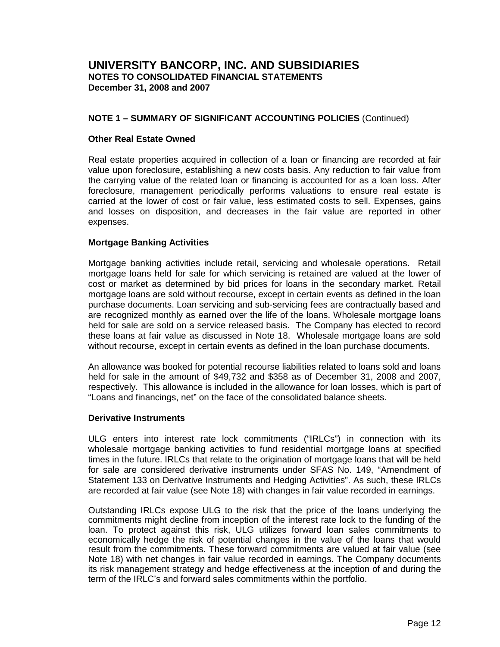## **NOTE 1 – SUMMARY OF SIGNIFICANT ACCOUNTING POLICIES** (Continued)

#### **Other Real Estate Owned**

Real estate properties acquired in collection of a loan or financing are recorded at fair value upon foreclosure, establishing a new costs basis. Any reduction to fair value from the carrying value of the related loan or financing is accounted for as a loan loss. After foreclosure, management periodically performs valuations to ensure real estate is carried at the lower of cost or fair value, less estimated costs to sell. Expenses, gains and losses on disposition, and decreases in the fair value are reported in other expenses.

## **Mortgage Banking Activities**

Mortgage banking activities include retail, servicing and wholesale operations. Retail mortgage loans held for sale for which servicing is retained are valued at the lower of cost or market as determined by bid prices for loans in the secondary market. Retail mortgage loans are sold without recourse, except in certain events as defined in the loan purchase documents. Loan servicing and sub-servicing fees are contractually based and are recognized monthly as earned over the life of the loans. Wholesale mortgage loans held for sale are sold on a service released basis. The Company has elected to record these loans at fair value as discussed in Note 18. Wholesale mortgage loans are sold without recourse, except in certain events as defined in the loan purchase documents.

An allowance was booked for potential recourse liabilities related to loans sold and loans held for sale in the amount of \$49,732 and \$358 as of December 31, 2008 and 2007, respectively. This allowance is included in the allowance for loan losses, which is part of "Loans and financings, net" on the face of the consolidated balance sheets.

#### **Derivative Instruments**

ULG enters into interest rate lock commitments ("IRLCs") in connection with its wholesale mortgage banking activities to fund residential mortgage loans at specified times in the future. IRLCs that relate to the origination of mortgage loans that will be held for sale are considered derivative instruments under SFAS No. 149, "Amendment of Statement 133 on Derivative Instruments and Hedging Activities". As such, these IRLCs are recorded at fair value (see Note 18) with changes in fair value recorded in earnings.

Outstanding IRLCs expose ULG to the risk that the price of the loans underlying the commitments might decline from inception of the interest rate lock to the funding of the loan. To protect against this risk, ULG utilizes forward loan sales commitments to economically hedge the risk of potential changes in the value of the loans that would result from the commitments. These forward commitments are valued at fair value (see Note 18) with net changes in fair value recorded in earnings. The Company documents its risk management strategy and hedge effectiveness at the inception of and during the term of the IRLC's and forward sales commitments within the portfolio.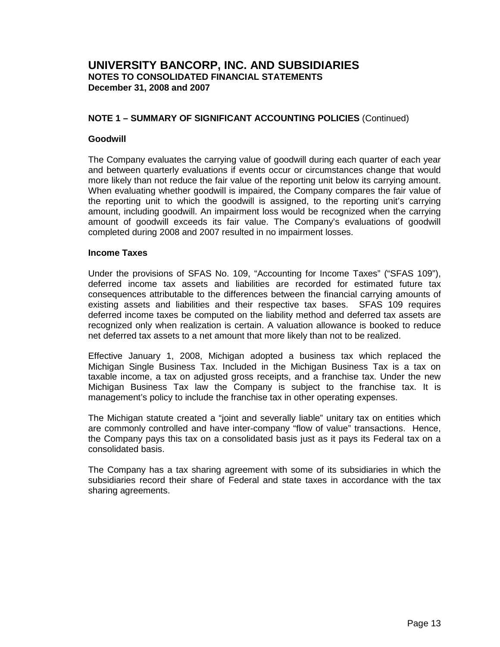## **NOTE 1 – SUMMARY OF SIGNIFICANT ACCOUNTING POLICIES** (Continued)

## **Goodwill**

The Company evaluates the carrying value of goodwill during each quarter of each year and between quarterly evaluations if events occur or circumstances change that would more likely than not reduce the fair value of the reporting unit below its carrying amount. When evaluating whether goodwill is impaired, the Company compares the fair value of the reporting unit to which the goodwill is assigned, to the reporting unit's carrying amount, including goodwill. An impairment loss would be recognized when the carrying amount of goodwill exceeds its fair value. The Company's evaluations of goodwill completed during 2008 and 2007 resulted in no impairment losses.

## **Income Taxes**

Under the provisions of SFAS No. 109, "Accounting for Income Taxes" ("SFAS 109"), deferred income tax assets and liabilities are recorded for estimated future tax consequences attributable to the differences between the financial carrying amounts of existing assets and liabilities and their respective tax bases. SFAS 109 requires deferred income taxes be computed on the liability method and deferred tax assets are recognized only when realization is certain. A valuation allowance is booked to reduce net deferred tax assets to a net amount that more likely than not to be realized.

Effective January 1, 2008, Michigan adopted a business tax which replaced the Michigan Single Business Tax. Included in the Michigan Business Tax is a tax on taxable income, a tax on adjusted gross receipts, and a franchise tax. Under the new Michigan Business Tax law the Company is subject to the franchise tax. It is management's policy to include the franchise tax in other operating expenses.

The Michigan statute created a "joint and severally liable" unitary tax on entities which are commonly controlled and have inter-company "flow of value" transactions. Hence, the Company pays this tax on a consolidated basis just as it pays its Federal tax on a consolidated basis.

The Company has a tax sharing agreement with some of its subsidiaries in which the subsidiaries record their share of Federal and state taxes in accordance with the tax sharing agreements.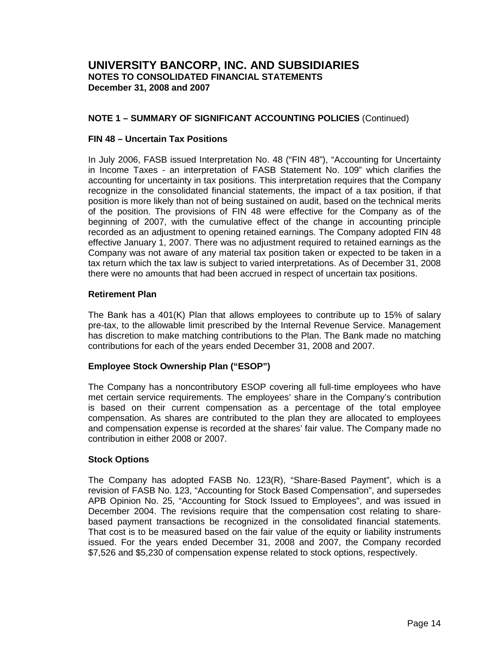## **NOTE 1 – SUMMARY OF SIGNIFICANT ACCOUNTING POLICIES** (Continued)

## **FIN 48 – Uncertain Tax Positions**

In July 2006, FASB issued Interpretation No. 48 ("FIN 48"), "Accounting for Uncertainty in Income Taxes - an interpretation of FASB Statement No. 109" which clarifies the accounting for uncertainty in tax positions. This interpretation requires that the Company recognize in the consolidated financial statements, the impact of a tax position, if that position is more likely than not of being sustained on audit, based on the technical merits of the position. The provisions of FIN 48 were effective for the Company as of the beginning of 2007, with the cumulative effect of the change in accounting principle recorded as an adjustment to opening retained earnings. The Company adopted FIN 48 effective January 1, 2007. There was no adjustment required to retained earnings as the Company was not aware of any material tax position taken or expected to be taken in a tax return which the tax law is subject to varied interpretations. As of December 31, 2008 there were no amounts that had been accrued in respect of uncertain tax positions.

#### **Retirement Plan**

The Bank has a 401(K) Plan that allows employees to contribute up to 15% of salary pre-tax, to the allowable limit prescribed by the Internal Revenue Service. Management has discretion to make matching contributions to the Plan. The Bank made no matching contributions for each of the years ended December 31, 2008 and 2007.

## **Employee Stock Ownership Plan ("ESOP")**

The Company has a noncontributory ESOP covering all full-time employees who have met certain service requirements. The employees' share in the Company's contribution is based on their current compensation as a percentage of the total employee compensation. As shares are contributed to the plan they are allocated to employees and compensation expense is recorded at the shares' fair value. The Company made no contribution in either 2008 or 2007.

## **Stock Options**

The Company has adopted FASB No. 123(R), "Share-Based Payment", which is a revision of FASB No. 123, "Accounting for Stock Based Compensation", and supersedes APB Opinion No. 25, "Accounting for Stock Issued to Employees", and was issued in December 2004. The revisions require that the compensation cost relating to sharebased payment transactions be recognized in the consolidated financial statements. That cost is to be measured based on the fair value of the equity or liability instruments issued. For the years ended December 31, 2008 and 2007, the Company recorded \$7,526 and \$5,230 of compensation expense related to stock options, respectively.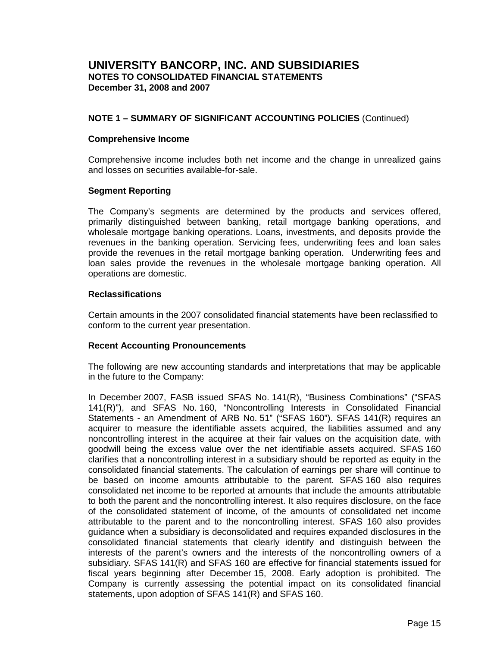## **NOTE 1 – SUMMARY OF SIGNIFICANT ACCOUNTING POLICIES** (Continued)

#### **Comprehensive Income**

Comprehensive income includes both net income and the change in unrealized gains and losses on securities available-for-sale.

## **Segment Reporting**

The Company's segments are determined by the products and services offered, primarily distinguished between banking, retail mortgage banking operations, and wholesale mortgage banking operations. Loans, investments, and deposits provide the revenues in the banking operation. Servicing fees, underwriting fees and loan sales provide the revenues in the retail mortgage banking operation. Underwriting fees and loan sales provide the revenues in the wholesale mortgage banking operation. All operations are domestic.

## **Reclassifications**

Certain amounts in the 2007 consolidated financial statements have been reclassified to conform to the current year presentation.

## **Recent Accounting Pronouncements**

The following are new accounting standards and interpretations that may be applicable in the future to the Company:

In December 2007, FASB issued SFAS No. 141(R), "Business Combinations" ("SFAS 141(R)"), and SFAS No. 160, "Noncontrolling Interests in Consolidated Financial Statements - an Amendment of ARB No. 51" ("SFAS 160"). SFAS 141(R) requires an acquirer to measure the identifiable assets acquired, the liabilities assumed and any noncontrolling interest in the acquiree at their fair values on the acquisition date, with goodwill being the excess value over the net identifiable assets acquired. SFAS 160 clarifies that a noncontrolling interest in a subsidiary should be reported as equity in the consolidated financial statements. The calculation of earnings per share will continue to be based on income amounts attributable to the parent. SFAS 160 also requires consolidated net income to be reported at amounts that include the amounts attributable to both the parent and the noncontrolling interest. It also requires disclosure, on the face of the consolidated statement of income, of the amounts of consolidated net income attributable to the parent and to the noncontrolling interest. SFAS 160 also provides guidance when a subsidiary is deconsolidated and requires expanded disclosures in the consolidated financial statements that clearly identify and distinguish between the interests of the parent's owners and the interests of the noncontrolling owners of a subsidiary. SFAS 141(R) and SFAS 160 are effective for financial statements issued for fiscal years beginning after December 15, 2008. Early adoption is prohibited. The Company is currently assessing the potential impact on its consolidated financial statements, upon adoption of SFAS 141(R) and SFAS 160.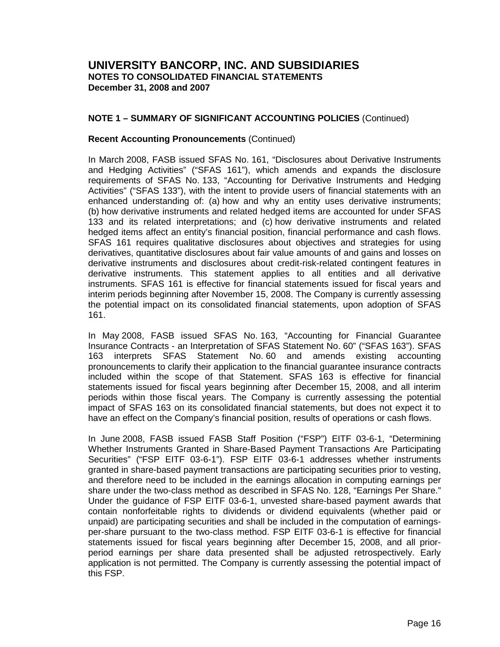## **NOTE 1 – SUMMARY OF SIGNIFICANT ACCOUNTING POLICIES** (Continued)

#### **Recent Accounting Pronouncements** (Continued)

In March 2008, FASB issued SFAS No. 161, "Disclosures about Derivative Instruments and Hedging Activities" ("SFAS 161"), which amends and expands the disclosure requirements of SFAS No. 133, "Accounting for Derivative Instruments and Hedging Activities" ("SFAS 133"), with the intent to provide users of financial statements with an enhanced understanding of: (a) how and why an entity uses derivative instruments; (b) how derivative instruments and related hedged items are accounted for under SFAS 133 and its related interpretations; and (c) how derivative instruments and related hedged items affect an entity's financial position, financial performance and cash flows. SFAS 161 requires qualitative disclosures about objectives and strategies for using derivatives, quantitative disclosures about fair value amounts of and gains and losses on derivative instruments and disclosures about credit-risk-related contingent features in derivative instruments. This statement applies to all entities and all derivative instruments. SFAS 161 is effective for financial statements issued for fiscal years and interim periods beginning after November 15, 2008. The Company is currently assessing the potential impact on its consolidated financial statements, upon adoption of SFAS 161.

In May 2008, FASB issued SFAS No. 163, "Accounting for Financial Guarantee Insurance Contracts - an Interpretation of SFAS Statement No. 60" ("SFAS 163"). SFAS 163 interprets SFAS Statement No. 60 and amends existing accounting pronouncements to clarify their application to the financial guarantee insurance contracts included within the scope of that Statement. SFAS 163 is effective for financial statements issued for fiscal years beginning after December 15, 2008, and all interim periods within those fiscal years. The Company is currently assessing the potential impact of SFAS 163 on its consolidated financial statements, but does not expect it to have an effect on the Company's financial position, results of operations or cash flows.

In June 2008, FASB issued FASB Staff Position ("FSP") EITF 03-6-1, "Determining Whether Instruments Granted in Share-Based Payment Transactions Are Participating Securities" ("FSP EITF 03-6-1"). FSP EITF 03-6-1 addresses whether instruments granted in share-based payment transactions are participating securities prior to vesting, and therefore need to be included in the earnings allocation in computing earnings per share under the two-class method as described in SFAS No. 128, "Earnings Per Share." Under the guidance of FSP EITF 03-6-1, unvested share-based payment awards that contain nonforfeitable rights to dividends or dividend equivalents (whether paid or unpaid) are participating securities and shall be included in the computation of earningsper-share pursuant to the two-class method. FSP EITF 03-6-1 is effective for financial statements issued for fiscal years beginning after December 15, 2008, and all priorperiod earnings per share data presented shall be adjusted retrospectively. Early application is not permitted. The Company is currently assessing the potential impact of this FSP.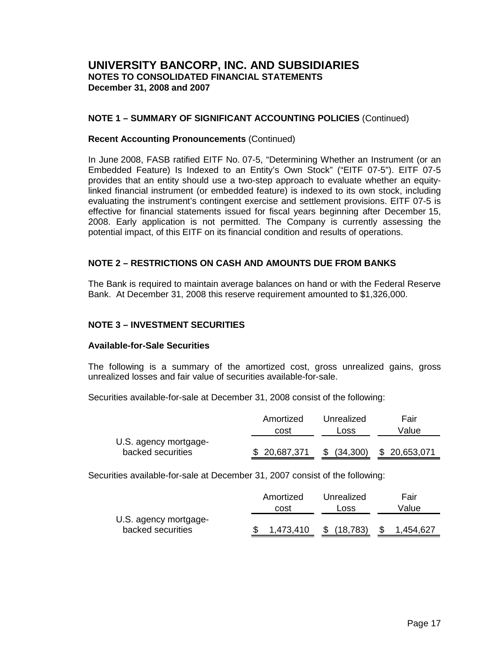## **NOTE 1 – SUMMARY OF SIGNIFICANT ACCOUNTING POLICIES** (Continued)

#### **Recent Accounting Pronouncements** (Continued)

In June 2008, FASB ratified EITF No. 07-5, "Determining Whether an Instrument (or an Embedded Feature) Is Indexed to an Entity's Own Stock" ("EITF 07-5"). EITF 07-5 provides that an entity should use a two-step approach to evaluate whether an equitylinked financial instrument (or embedded feature) is indexed to its own stock, including evaluating the instrument's contingent exercise and settlement provisions. EITF 07-5 is effective for financial statements issued for fiscal years beginning after December 15, 2008. Early application is not permitted. The Company is currently assessing the potential impact, of this EITF on its financial condition and results of operations.

## **NOTE 2 – RESTRICTIONS ON CASH AND AMOUNTS DUE FROM BANKS**

The Bank is required to maintain average balances on hand or with the Federal Reserve Bank. At December 31, 2008 this reserve requirement amounted to \$1,326,000.

## **NOTE 3 – INVESTMENT SECURITIES**

#### **Available-for-Sale Securities**

The following is a summary of the amortized cost, gross unrealized gains, gross unrealized losses and fair value of securities available-for-sale.

Securities available-for-sale at December 31, 2008 consist of the following:

|                       | Amortized    | Unrealized | Fair         |
|-----------------------|--------------|------------|--------------|
|                       | cost         | Loss       | Value        |
| U.S. agency mortgage- |              |            |              |
| backed securities     | \$20,687,371 | (34,300)   | \$20,653,071 |
|                       |              |            |              |

Securities available-for-sale at December 31, 2007 consist of the following:

|                       | Amortized | Unrealized | Fair      |
|-----------------------|-----------|------------|-----------|
|                       | cost      | Loss       | Value     |
| U.S. agency mortgage- |           |            |           |
| backed securities     | 1.473.410 | (18, 783)  | 1,454,627 |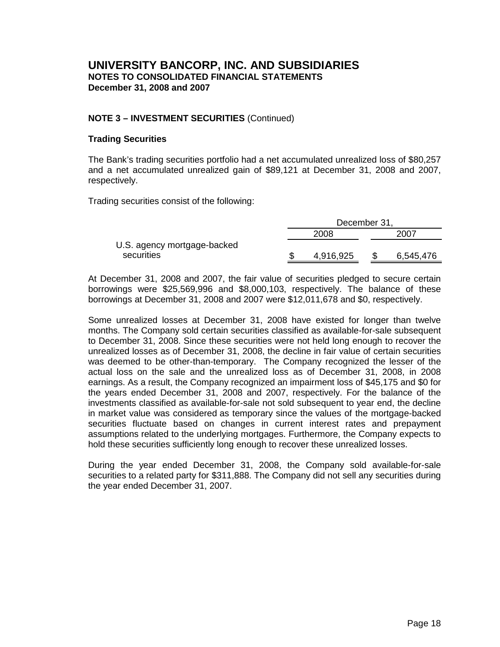## **NOTE 3 – INVESTMENT SECURITIES** (Continued)

## **Trading Securities**

The Bank's trading securities portfolio had a net accumulated unrealized loss of \$80,257 and a net accumulated unrealized gain of \$89,121 at December 31, 2008 and 2007, respectively.

Trading securities consist of the following:

|                             | December 31, |  |           |  |
|-----------------------------|--------------|--|-----------|--|
|                             | 2008         |  | 2007      |  |
| U.S. agency mortgage-backed |              |  |           |  |
| securities                  | 4,916,925    |  | 6,545,476 |  |

At December 31, 2008 and 2007, the fair value of securities pledged to secure certain borrowings were \$25,569,996 and \$8,000,103, respectively. The balance of these borrowings at December 31, 2008 and 2007 were \$12,011,678 and \$0, respectively.

Some unrealized losses at December 31, 2008 have existed for longer than twelve months. The Company sold certain securities classified as available-for-sale subsequent to December 31, 2008. Since these securities were not held long enough to recover the unrealized losses as of December 31, 2008, the decline in fair value of certain securities was deemed to be other-than-temporary. The Company recognized the lesser of the actual loss on the sale and the unrealized loss as of December 31, 2008, in 2008 earnings. As a result, the Company recognized an impairment loss of \$45,175 and \$0 for the years ended December 31, 2008 and 2007, respectively. For the balance of the investments classified as available-for-sale not sold subsequent to year end, the decline in market value was considered as temporary since the values of the mortgage-backed securities fluctuate based on changes in current interest rates and prepayment assumptions related to the underlying mortgages. Furthermore, the Company expects to hold these securities sufficiently long enough to recover these unrealized losses.

During the year ended December 31, 2008, the Company sold available-for-sale securities to a related party for \$311,888. The Company did not sell any securities during the year ended December 31, 2007.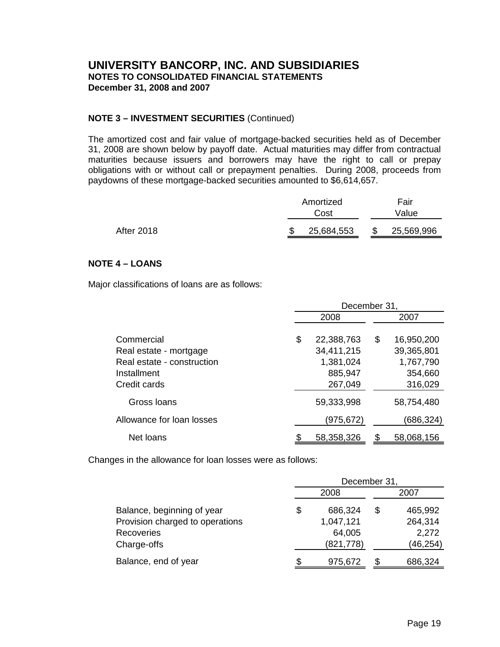## **NOTE 3 – INVESTMENT SECURITIES** (Continued)

The amortized cost and fair value of mortgage-backed securities held as of December 31, 2008 are shown below by payoff date. Actual maturities may differ from contractual maturities because issuers and borrowers may have the right to call or prepay obligations with or without call or prepayment penalties. During 2008, proceeds from paydowns of these mortgage-backed securities amounted to \$6,614,657.

|                   | Amortized  | Fair       |
|-------------------|------------|------------|
|                   | Cost       | Value      |
| <b>After 2018</b> | 25,684,553 | 25,569,996 |

## **NOTE 4 – LOANS**

Major classifications of loans are as follows:

|                                                                                                   | December 31, |                                                             |    |                                                             |  |
|---------------------------------------------------------------------------------------------------|--------------|-------------------------------------------------------------|----|-------------------------------------------------------------|--|
|                                                                                                   |              | 2008                                                        |    | 2007                                                        |  |
| Commercial<br>Real estate - mortgage<br>Real estate - construction<br>Installment<br>Credit cards | \$           | 22,388,763<br>34,411,215<br>1,381,024<br>885,947<br>267,049 | \$ | 16,950,200<br>39,365,801<br>1,767,790<br>354,660<br>316,029 |  |
| Gross Ioans                                                                                       |              | 59,333,998                                                  |    | 58,754,480                                                  |  |
| Allowance for loan losses                                                                         |              | (975, 672)                                                  |    | (686,324)                                                   |  |
| Net loans                                                                                         |              | 58,358,326                                                  |    | 58,068,156                                                  |  |

Changes in the allowance for loan losses were as follows:

|                                 | December 31, |            |    |          |  |  |
|---------------------------------|--------------|------------|----|----------|--|--|
|                                 |              | 2008       |    | 2007     |  |  |
| Balance, beginning of year      | \$           | 686,324    | \$ | 465,992  |  |  |
| Provision charged to operations |              | 1,047,121  |    | 264,314  |  |  |
| Recoveries                      |              | 64,005     |    | 2,272    |  |  |
| Charge-offs                     |              | (821, 778) |    | (46,254) |  |  |
| Balance, end of year            |              | 975,672    |    | 686,324  |  |  |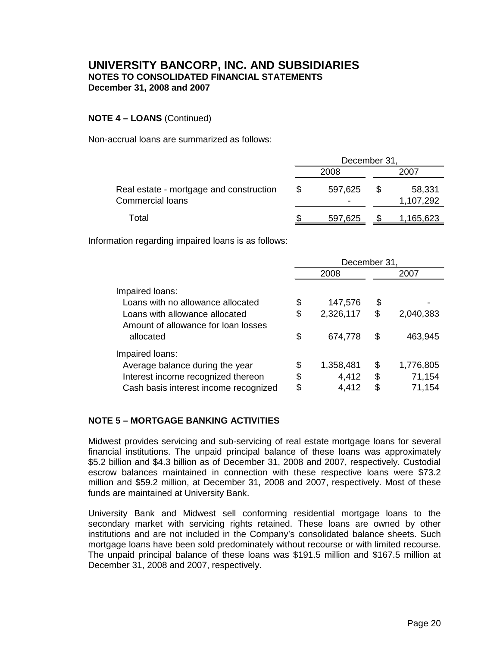## **NOTE 4 – LOANS** (Continued)

Non-accrual loans are summarized as follows:

|                                                                    | December 31, |              |   |                     |
|--------------------------------------------------------------------|--------------|--------------|---|---------------------|
|                                                                    |              | 2008         |   | 2007                |
| Real estate - mortgage and construction<br><b>Commercial loans</b> | \$           | 597,625<br>- | S | 58,331<br>1,107,292 |
| Total                                                              |              | 597,625      |   | 1,165,623           |

Information regarding impaired loans is as follows:

|                                                                       | December 31,    |    |           |  |
|-----------------------------------------------------------------------|-----------------|----|-----------|--|
|                                                                       | 2008            |    | 2007      |  |
| Impaired loans:                                                       |                 |    |           |  |
| Loans with no allowance allocated                                     | \$<br>147,576   | \$ |           |  |
| Loans with allowance allocated<br>Amount of allowance for loan losses | \$<br>2,326,117 | \$ | 2,040,383 |  |
| allocated                                                             | \$<br>674,778   | \$ | 463,945   |  |
| Impaired loans:                                                       |                 |    |           |  |
| Average balance during the year                                       | \$<br>1,358,481 | \$ | 1,776,805 |  |
| Interest income recognized thereon                                    | \$<br>4,412     | \$ | 71,154    |  |
| Cash basis interest income recognized                                 | \$<br>4,412     | \$ | 71,154    |  |

## **NOTE 5 – MORTGAGE BANKING ACTIVITIES**

Midwest provides servicing and sub-servicing of real estate mortgage loans for several financial institutions. The unpaid principal balance of these loans was approximately \$5.2 billion and \$4.3 billion as of December 31, 2008 and 2007, respectively. Custodial escrow balances maintained in connection with these respective loans were \$73.2 million and \$59.2 million, at December 31, 2008 and 2007, respectively. Most of these funds are maintained at University Bank.

University Bank and Midwest sell conforming residential mortgage loans to the secondary market with servicing rights retained. These loans are owned by other institutions and are not included in the Company's consolidated balance sheets. Such mortgage loans have been sold predominately without recourse or with limited recourse. The unpaid principal balance of these loans was \$191.5 million and \$167.5 million at December 31, 2008 and 2007, respectively.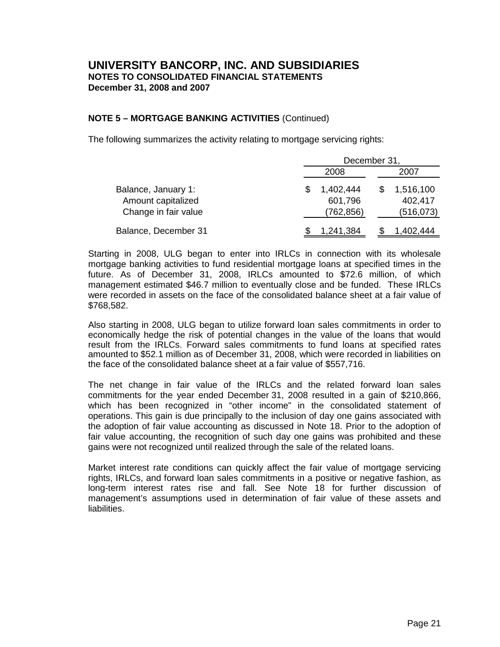## **NOTE 5 – MORTGAGE BANKING ACTIVITIES** (Continued)

The following summarizes the activity relating to mortgage servicing rights:

|                      | December 31, |           |  |            |  |
|----------------------|--------------|-----------|--|------------|--|
|                      |              | 2008      |  | 2007       |  |
| Balance, January 1:  |              | 1,402,444 |  | 1,516,100  |  |
| Amount capitalized   |              | 601,796   |  | 402,417    |  |
| Change in fair value |              | (762,856) |  | (516, 073) |  |
| Balance, December 31 |              | 1,241,384 |  | 1.402.444  |  |

Starting in 2008, ULG began to enter into IRLCs in connection with its wholesale mortgage banking activities to fund residential mortgage loans at specified times in the future. As of December 31, 2008, IRLCs amounted to \$72.6 million, of which management estimated \$46.7 million to eventually close and be funded. These IRLCs were recorded in assets on the face of the consolidated balance sheet at a fair value of \$768,582.

Also starting in 2008, ULG began to utilize forward loan sales commitments in order to economically hedge the risk of potential changes in the value of the loans that would result from the IRLCs. Forward sales commitments to fund loans at specified rates amounted to \$52.1 million as of December 31, 2008, which were recorded in liabilities on the face of the consolidated balance sheet at a fair value of \$557,716.

The net change in fair value of the IRLCs and the related forward loan sales commitments for the year ended December 31, 2008 resulted in a gain of \$210,866, which has been recognized in "other income" in the consolidated statement of operations. This gain is due principally to the inclusion of day one gains associated with the adoption of fair value accounting as discussed in Note 18. Prior to the adoption of fair value accounting, the recognition of such day one gains was prohibited and these gains were not recognized until realized through the sale of the related loans.

Market interest rate conditions can quickly affect the fair value of mortgage servicing rights, IRLCs, and forward loan sales commitments in a positive or negative fashion, as long-term interest rates rise and fall. See Note 18 for further discussion of management's assumptions used in determination of fair value of these assets and liabilities.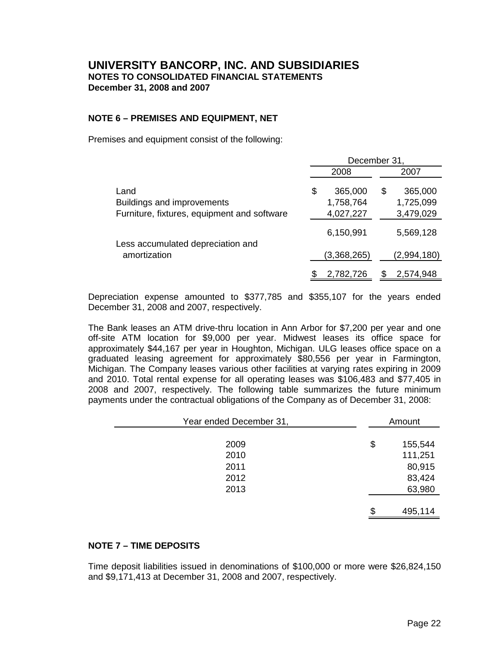## **NOTE 6 – PREMISES AND EQUIPMENT, NET**

Premises and equipment consist of the following:

|                                             | December 31,               |                           |  |  |  |
|---------------------------------------------|----------------------------|---------------------------|--|--|--|
|                                             | 2008                       | 2007                      |  |  |  |
| Land<br><b>Buildings and improvements</b>   | \$<br>365,000<br>1,758,764 | 365,000<br>S<br>1,725,099 |  |  |  |
| Furniture, fixtures, equipment and software | 4,027,227                  | 3,479,029                 |  |  |  |
| Less accumulated depreciation and           | 6,150,991                  | 5,569,128                 |  |  |  |
| amortization                                | (3,368,265)                | (2,994,180)               |  |  |  |
|                                             | 2,782,726                  | 2,574,948                 |  |  |  |

Depreciation expense amounted to \$377,785 and \$355,107 for the years ended December 31, 2008 and 2007, respectively.

The Bank leases an ATM drive-thru location in Ann Arbor for \$7,200 per year and one off-site ATM location for \$9,000 per year. Midwest leases its office space for approximately \$44,167 per year in Houghton, Michigan. ULG leases office space on a graduated leasing agreement for approximately \$80,556 per year in Farmington, Michigan. The Company leases various other facilities at varying rates expiring in 2009 and 2010. Total rental expense for all operating leases was \$106,483 and \$77,405 in 2008 and 2007, respectively. The following table summarizes the future minimum payments under the contractual obligations of the Company as of December 31, 2008:

| Year ended December 31, | Amount        |
|-------------------------|---------------|
|                         |               |
| 2009                    | \$<br>155,544 |
| 2010                    | 111,251       |
| 2011                    | 80,915        |
| 2012                    | 83,424        |
| 2013                    | 63,980        |
|                         |               |
|                         | \$<br>495,114 |

## **NOTE 7 – TIME DEPOSITS**

Time deposit liabilities issued in denominations of \$100,000 or more were \$26,824,150 and \$9,171,413 at December 31, 2008 and 2007, respectively.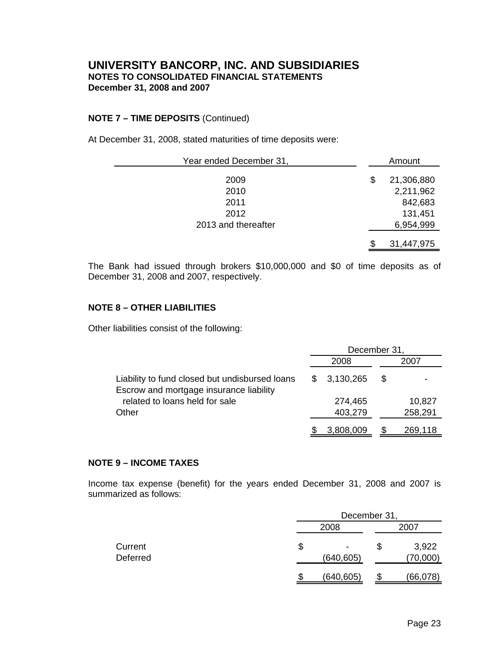## **NOTE 7 – TIME DEPOSITS** (Continued)

At December 31, 2008, stated maturities of time deposits were:

| Year ended December 31, |    | Amount     |
|-------------------------|----|------------|
| 2009                    | \$ | 21,306,880 |
| 2010                    |    | 2,211,962  |
| 2011                    |    | 842,683    |
| 2012                    |    | 131,451    |
| 2013 and thereafter     |    | 6,954,999  |
|                         | \$ | 31,447,975 |

The Bank had issued through brokers \$10,000,000 and \$0 of time deposits as of December 31, 2008 and 2007, respectively.

## **NOTE 8 – OTHER LIABILITIES**

Other liabilities consist of the following:

|                                                                                           | December 31, |                    |     |                   |  |  |  |
|-------------------------------------------------------------------------------------------|--------------|--------------------|-----|-------------------|--|--|--|
|                                                                                           |              | 2008               |     | 2007              |  |  |  |
| Liability to fund closed but undisbursed loans<br>Escrow and mortgage insurance liability |              | 3,130,265          | \$. |                   |  |  |  |
| related to loans held for sale<br>Other                                                   |              | 274,465<br>403,279 |     | 10,827<br>258,291 |  |  |  |
|                                                                                           |              | 3,808,009          |     | 269,118           |  |  |  |

## **NOTE 9 – INCOME TAXES**

Income tax expense (benefit) for the years ended December 31, 2008 and 2007 is summarized as follows:

|                     |    | December 31,       |      |                   |  |  |  |  |  |  |
|---------------------|----|--------------------|------|-------------------|--|--|--|--|--|--|
|                     |    | 2008               | 2007 |                   |  |  |  |  |  |  |
| Current<br>Deferred | \$ | $\,$<br>(640, 605) | Ъ    | 3,922<br>(70,000) |  |  |  |  |  |  |
|                     | S. | (640, 605)         | Ф    | (66,078)          |  |  |  |  |  |  |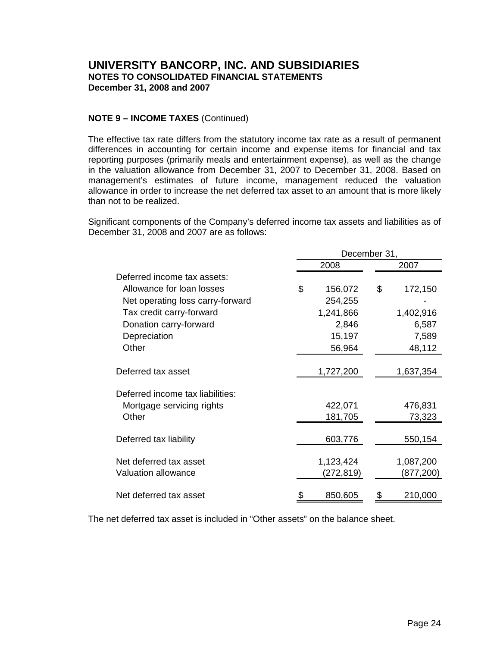## **NOTE 9 – INCOME TAXES** (Continued)

The effective tax rate differs from the statutory income tax rate as a result of permanent differences in accounting for certain income and expense items for financial and tax reporting purposes (primarily meals and entertainment expense), as well as the change in the valuation allowance from December 31, 2007 to December 31, 2008. Based on management's estimates of future income, management reduced the valuation allowance in order to increase the net deferred tax asset to an amount that is more likely than not to be realized.

Significant components of the Company's deferred income tax assets and liabilities as of December 31, 2008 and 2007 are as follows:

|                                  | December 31,  |    |           |  |  |  |  |  |
|----------------------------------|---------------|----|-----------|--|--|--|--|--|
|                                  | 2008          |    | 2007      |  |  |  |  |  |
| Deferred income tax assets:      |               |    |           |  |  |  |  |  |
| Allowance for loan losses        | \$<br>156,072 | \$ | 172,150   |  |  |  |  |  |
| Net operating loss carry-forward | 254,255       |    |           |  |  |  |  |  |
| Tax credit carry-forward         | 1,241,866     |    | 1,402,916 |  |  |  |  |  |
| Donation carry-forward           | 2,846         |    | 6,587     |  |  |  |  |  |
| Depreciation                     | 15,197        |    | 7,589     |  |  |  |  |  |
| Other                            | 56,964        |    | 48,112    |  |  |  |  |  |
|                                  |               |    |           |  |  |  |  |  |
| Deferred tax asset               | 1,727,200     |    | 1,637,354 |  |  |  |  |  |
| Deferred income tax liabilities: |               |    |           |  |  |  |  |  |
| Mortgage servicing rights        | 422,071       |    | 476,831   |  |  |  |  |  |
| Other                            | 181,705       |    | 73,323    |  |  |  |  |  |
|                                  |               |    |           |  |  |  |  |  |
| Deferred tax liability           | 603,776       |    | 550,154   |  |  |  |  |  |
| Net deferred tax asset           | 1,123,424     |    | 1,087,200 |  |  |  |  |  |
| <b>Valuation allowance</b>       | (272,819)     |    | (877,200) |  |  |  |  |  |
| Net deferred tax asset           | 850,605       | \$ | 210,000   |  |  |  |  |  |
|                                  |               |    |           |  |  |  |  |  |

The net deferred tax asset is included in "Other assets" on the balance sheet.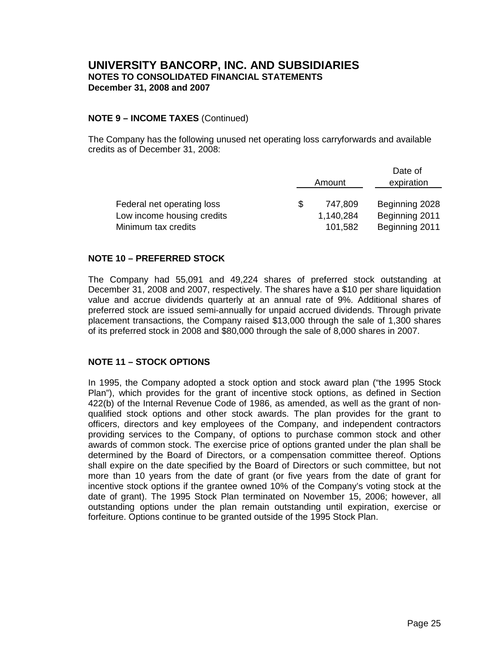## **NOTE 9 – INCOME TAXES** (Continued)

The Company has the following unused net operating loss carryforwards and available credits as of December 31, 2008:

|                            | Amount    | Date of<br>expiration |
|----------------------------|-----------|-----------------------|
| Federal net operating loss | 747,809   | Beginning 2028        |
| Low income housing credits | 1,140,284 | Beginning 2011        |
| Minimum tax credits        | 101,582   | Beginning 2011        |

## **NOTE 10 – PREFERRED STOCK**

The Company had 55,091 and 49,224 shares of preferred stock outstanding at December 31, 2008 and 2007, respectively. The shares have a \$10 per share liquidation value and accrue dividends quarterly at an annual rate of 9%. Additional shares of preferred stock are issued semi-annually for unpaid accrued dividends. Through private placement transactions, the Company raised \$13,000 through the sale of 1,300 shares of its preferred stock in 2008 and \$80,000 through the sale of 8,000 shares in 2007.

## **NOTE 11 – STOCK OPTIONS**

In 1995, the Company adopted a stock option and stock award plan ("the 1995 Stock Plan"), which provides for the grant of incentive stock options, as defined in Section 422(b) of the Internal Revenue Code of 1986, as amended, as well as the grant of nonqualified stock options and other stock awards. The plan provides for the grant to officers, directors and key employees of the Company, and independent contractors providing services to the Company, of options to purchase common stock and other awards of common stock. The exercise price of options granted under the plan shall be determined by the Board of Directors, or a compensation committee thereof. Options shall expire on the date specified by the Board of Directors or such committee, but not more than 10 years from the date of grant (or five years from the date of grant for incentive stock options if the grantee owned 10% of the Company's voting stock at the date of grant). The 1995 Stock Plan terminated on November 15, 2006; however, all outstanding options under the plan remain outstanding until expiration, exercise or forfeiture. Options continue to be granted outside of the 1995 Stock Plan.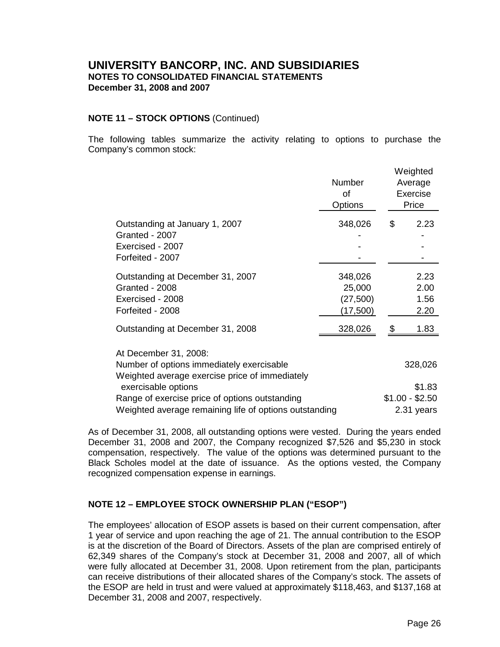## **NOTE 11 – STOCK OPTIONS** (Continued)

The following tables summarize the activity relating to options to purchase the Company's common stock:

|                                                        | Number<br>0f<br><b>Options</b> | Weighted<br>Average<br>Exercise<br>Price |
|--------------------------------------------------------|--------------------------------|------------------------------------------|
| Outstanding at January 1, 2007                         | 348,026                        | \$<br>2.23                               |
| Granted - 2007                                         |                                |                                          |
| Exercised - 2007                                       |                                |                                          |
| Forfeited - 2007                                       |                                |                                          |
| Outstanding at December 31, 2007                       | 348,026                        | 2.23                                     |
| Granted - 2008                                         | 25,000                         | 2.00                                     |
| Exercised - 2008                                       | (27, 500)                      | 1.56                                     |
| Forfeited - 2008                                       | (17,500)                       | 2.20                                     |
| Outstanding at December 31, 2008                       | 328,026                        | 1.83                                     |
| At December 31, 2008:                                  |                                |                                          |
| Number of options immediately exercisable              |                                | 328,026                                  |
| Weighted average exercise price of immediately         |                                |                                          |
| exercisable options                                    |                                | \$1.83                                   |
| Range of exercise price of options outstanding         |                                | $$1.00 - $2.50$                          |
| Weighted average remaining life of options outstanding |                                | 2.31 years                               |

As of December 31, 2008, all outstanding options were vested. During the years ended December 31, 2008 and 2007, the Company recognized \$7,526 and \$5,230 in stock compensation, respectively. The value of the options was determined pursuant to the Black Scholes model at the date of issuance. As the options vested, the Company recognized compensation expense in earnings.

## **NOTE 12 – EMPLOYEE STOCK OWNERSHIP PLAN ("ESOP")**

The employees' allocation of ESOP assets is based on their current compensation, after 1 year of service and upon reaching the age of 21. The annual contribution to the ESOP is at the discretion of the Board of Directors. Assets of the plan are comprised entirely of 62,349 shares of the Company's stock at December 31, 2008 and 2007, all of which were fully allocated at December 31, 2008. Upon retirement from the plan, participants can receive distributions of their allocated shares of the Company's stock. The assets of the ESOP are held in trust and were valued at approximately \$118,463, and \$137,168 at December 31, 2008 and 2007, respectively.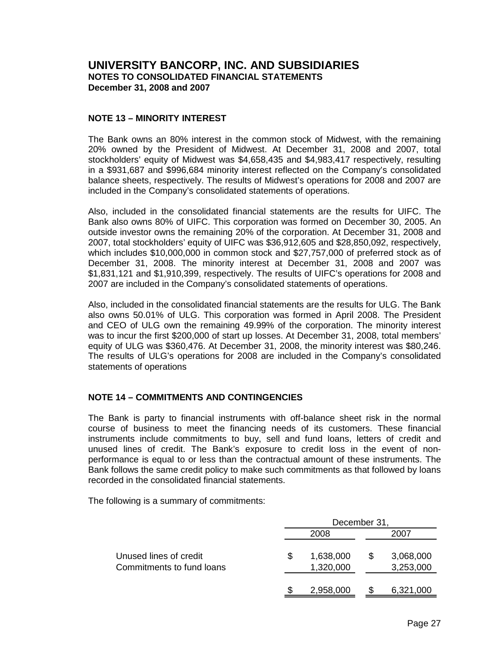## **NOTE 13 – MINORITY INTEREST**

The Bank owns an 80% interest in the common stock of Midwest, with the remaining 20% owned by the President of Midwest. At December 31, 2008 and 2007, total stockholders' equity of Midwest was \$4,658,435 and \$4,983,417 respectively, resulting in a \$931,687 and \$996,684 minority interest reflected on the Company's consolidated balance sheets, respectively. The results of Midwest's operations for 2008 and 2007 are included in the Company's consolidated statements of operations.

Also, included in the consolidated financial statements are the results for UIFC. The Bank also owns 80% of UIFC. This corporation was formed on December 30, 2005. An outside investor owns the remaining 20% of the corporation. At December 31, 2008 and 2007, total stockholders' equity of UIFC was \$36,912,605 and \$28,850,092, respectively, which includes \$10,000,000 in common stock and \$27,757,000 of preferred stock as of December 31, 2008. The minority interest at December 31, 2008 and 2007 was \$1,831,121 and \$1,910,399, respectively. The results of UIFC's operations for 2008 and 2007 are included in the Company's consolidated statements of operations.

Also, included in the consolidated financial statements are the results for ULG. The Bank also owns 50.01% of ULG. This corporation was formed in April 2008. The President and CEO of ULG own the remaining 49.99% of the corporation. The minority interest was to incur the first \$200,000 of start up losses. At December 31, 2008, total members' equity of ULG was \$360,476. At December 31, 2008, the minority interest was \$80,246. The results of ULG's operations for 2008 are included in the Company's consolidated statements of operations

## **NOTE 14 – COMMITMENTS AND CONTINGENCIES**

The Bank is party to financial instruments with off-balance sheet risk in the normal course of business to meet the financing needs of its customers. These financial instruments include commitments to buy, sell and fund loans, letters of credit and unused lines of credit. The Bank's exposure to credit loss in the event of nonperformance is equal to or less than the contractual amount of these instruments. The Bank follows the same credit policy to make such commitments as that followed by loans recorded in the consolidated financial statements.

The following is a summary of commitments:

|                                                     | December 31. |                        |    |                        |  |  |  |  |  |
|-----------------------------------------------------|--------------|------------------------|----|------------------------|--|--|--|--|--|
|                                                     |              | 2008                   |    | 2007                   |  |  |  |  |  |
| Unused lines of credit<br>Commitments to fund loans | S            | 1,638,000<br>1,320,000 | \$ | 3,068,000<br>3,253,000 |  |  |  |  |  |
|                                                     |              | 2,958,000              |    | 6,321,000              |  |  |  |  |  |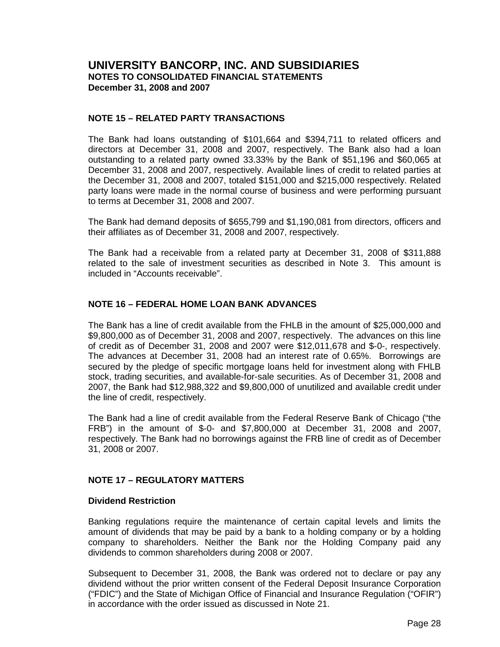## **NOTE 15 – RELATED PARTY TRANSACTIONS**

The Bank had loans outstanding of \$101,664 and \$394,711 to related officers and directors at December 31, 2008 and 2007, respectively. The Bank also had a loan outstanding to a related party owned 33.33% by the Bank of \$51,196 and \$60,065 at December 31, 2008 and 2007, respectively. Available lines of credit to related parties at the December 31, 2008 and 2007, totaled \$151,000 and \$215,000 respectively. Related party loans were made in the normal course of business and were performing pursuant to terms at December 31, 2008 and 2007.

The Bank had demand deposits of \$655,799 and \$1,190,081 from directors, officers and their affiliates as of December 31, 2008 and 2007, respectively.

The Bank had a receivable from a related party at December 31, 2008 of \$311,888 related to the sale of investment securities as described in Note 3. This amount is included in "Accounts receivable".

## **NOTE 16 – FEDERAL HOME LOAN BANK ADVANCES**

The Bank has a line of credit available from the FHLB in the amount of \$25,000,000 and \$9,800,000 as of December 31, 2008 and 2007, respectively. The advances on this line of credit as of December 31, 2008 and 2007 were \$12,011,678 and \$-0-, respectively. The advances at December 31, 2008 had an interest rate of 0.65%. Borrowings are secured by the pledge of specific mortgage loans held for investment along with FHLB stock, trading securities, and available-for-sale securities. As of December 31, 2008 and 2007, the Bank had \$12,988,322 and \$9,800,000 of unutilized and available credit under the line of credit, respectively.

The Bank had a line of credit available from the Federal Reserve Bank of Chicago ("the FRB") in the amount of \$-0- and \$7,800,000 at December 31, 2008 and 2007, respectively. The Bank had no borrowings against the FRB line of credit as of December 31, 2008 or 2007.

## **NOTE 17 – REGULATORY MATTERS**

## **Dividend Restriction**

Banking regulations require the maintenance of certain capital levels and limits the amount of dividends that may be paid by a bank to a holding company or by a holding company to shareholders. Neither the Bank nor the Holding Company paid any dividends to common shareholders during 2008 or 2007.

Subsequent to December 31, 2008, the Bank was ordered not to declare or pay any dividend without the prior written consent of the Federal Deposit Insurance Corporation ("FDIC") and the State of Michigan Office of Financial and Insurance Regulation ("OFIR") in accordance with the order issued as discussed in Note 21.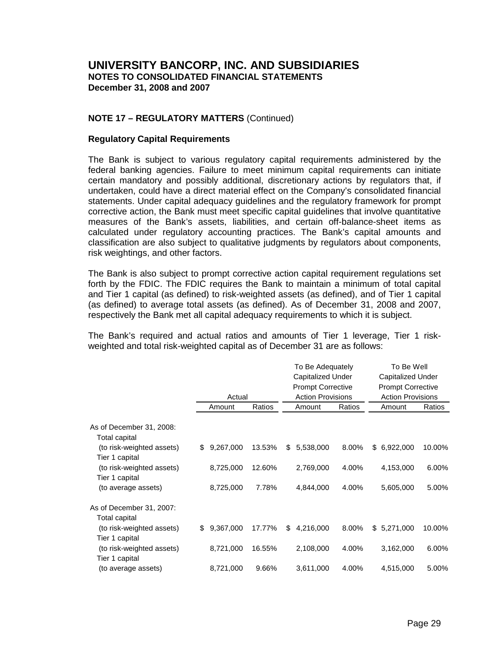## **NOTE 17 – REGULATORY MATTERS** (Continued)

#### **Regulatory Capital Requirements**

The Bank is subject to various regulatory capital requirements administered by the federal banking agencies. Failure to meet minimum capital requirements can initiate certain mandatory and possibly additional, discretionary actions by regulators that, if undertaken, could have a direct material effect on the Company's consolidated financial statements. Under capital adequacy guidelines and the regulatory framework for prompt corrective action, the Bank must meet specific capital guidelines that involve quantitative measures of the Bank's assets, liabilities, and certain off-balance-sheet items as calculated under regulatory accounting practices. The Bank's capital amounts and classification are also subject to qualitative judgments by regulators about components, risk weightings, and other factors.

The Bank is also subject to prompt corrective action capital requirement regulations set forth by the FDIC. The FDIC requires the Bank to maintain a minimum of total capital and Tier 1 capital (as defined) to risk-weighted assets (as defined), and of Tier 1 capital (as defined) to average total assets (as defined). As of December 31, 2008 and 2007, respectively the Bank met all capital adequacy requirements to which it is subject.

The Bank's required and actual ratios and amounts of Tier 1 leverage, Tier 1 riskweighted and total risk-weighted capital as of December 31 are as follows:

|                           |                 |        | To Be Adequately |                          |        |                          | To Be Well               |        |  |  |
|---------------------------|-----------------|--------|------------------|--------------------------|--------|--------------------------|--------------------------|--------|--|--|
|                           |                 |        |                  | <b>Capitalized Under</b> |        |                          | <b>Capitalized Under</b> |        |  |  |
|                           |                 |        |                  | <b>Prompt Corrective</b> |        | <b>Prompt Corrective</b> |                          |        |  |  |
|                           | Actual          |        |                  | <b>Action Provisions</b> |        |                          | <b>Action Provisions</b> |        |  |  |
|                           | Amount          | Ratios |                  | Amount                   | Ratios |                          | Amount                   | Ratios |  |  |
| As of December 31, 2008:  |                 |        |                  |                          |        |                          |                          |        |  |  |
| Total capital             |                 |        |                  |                          |        |                          |                          |        |  |  |
| (to risk-weighted assets) | \$<br>9,267,000 | 13.53% | \$               | 5,538,000                | 8.00%  | \$                       | 6,922,000                | 10.00% |  |  |
| Tier 1 capital            |                 |        |                  |                          |        |                          |                          |        |  |  |
| (to risk-weighted assets) | 8,725,000       | 12.60% |                  | 2,769,000                | 4.00%  |                          | 4,153,000                | 6.00%  |  |  |
| Tier 1 capital            |                 |        |                  |                          |        |                          |                          |        |  |  |
| (to average assets)       | 8,725,000       | 7.78%  |                  | 4,844,000                | 4.00%  |                          | 5,605,000                | 5.00%  |  |  |
| As of December 31, 2007:  |                 |        |                  |                          |        |                          |                          |        |  |  |
| Total capital             |                 |        |                  |                          |        |                          |                          |        |  |  |
| (to risk-weighted assets) | \$<br>9,367,000 | 17.77% | \$               | 4,216,000                | 8.00%  | \$.                      | 5,271,000                | 10.00% |  |  |
| Tier 1 capital            |                 |        |                  |                          |        |                          |                          |        |  |  |
| (to risk-weighted assets) | 8,721,000       | 16.55% |                  | 2,108,000                | 4.00%  |                          | 3,162,000                | 6.00%  |  |  |
| Tier 1 capital            |                 |        |                  |                          |        |                          |                          |        |  |  |
| (to average assets)       | 8,721,000       | 9.66%  |                  | 3,611,000                | 4.00%  |                          | 4,515,000                | 5.00%  |  |  |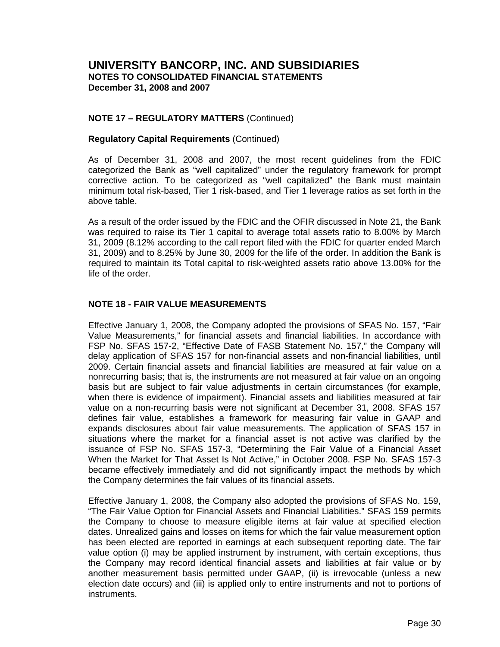## **NOTE 17 – REGULATORY MATTERS** (Continued)

## **Regulatory Capital Requirements** (Continued)

As of December 31, 2008 and 2007, the most recent guidelines from the FDIC categorized the Bank as "well capitalized" under the regulatory framework for prompt corrective action. To be categorized as "well capitalized" the Bank must maintain minimum total risk-based, Tier 1 risk-based, and Tier 1 leverage ratios as set forth in the above table.

As a result of the order issued by the FDIC and the OFIR discussed in Note 21, the Bank was required to raise its Tier 1 capital to average total assets ratio to 8.00% by March 31, 2009 (8.12% according to the call report filed with the FDIC for quarter ended March 31, 2009) and to 8.25% by June 30, 2009 for the life of the order. In addition the Bank is required to maintain its Total capital to risk-weighted assets ratio above 13.00% for the life of the order.

## **NOTE 18 - FAIR VALUE MEASUREMENTS**

Effective January 1, 2008, the Company adopted the provisions of SFAS No. 157, "Fair Value Measurements," for financial assets and financial liabilities. In accordance with FSP No. SFAS 157-2, "Effective Date of FASB Statement No. 157," the Company will delay application of SFAS 157 for non-financial assets and non-financial liabilities, until 2009. Certain financial assets and financial liabilities are measured at fair value on a nonrecurring basis; that is, the instruments are not measured at fair value on an ongoing basis but are subject to fair value adjustments in certain circumstances (for example, when there is evidence of impairment). Financial assets and liabilities measured at fair value on a non-recurring basis were not significant at December 31, 2008. SFAS 157 defines fair value, establishes a framework for measuring fair value in GAAP and expands disclosures about fair value measurements. The application of SFAS 157 in situations where the market for a financial asset is not active was clarified by the issuance of FSP No. SFAS 157-3, "Determining the Fair Value of a Financial Asset When the Market for That Asset Is Not Active," in October 2008. FSP No. SFAS 157-3 became effectively immediately and did not significantly impact the methods by which the Company determines the fair values of its financial assets.

Effective January 1, 2008, the Company also adopted the provisions of SFAS No. 159, "The Fair Value Option for Financial Assets and Financial Liabilities." SFAS 159 permits the Company to choose to measure eligible items at fair value at specified election dates. Unrealized gains and losses on items for which the fair value measurement option has been elected are reported in earnings at each subsequent reporting date. The fair value option (i) may be applied instrument by instrument, with certain exceptions, thus the Company may record identical financial assets and liabilities at fair value or by another measurement basis permitted under GAAP, (ii) is irrevocable (unless a new election date occurs) and (iii) is applied only to entire instruments and not to portions of instruments.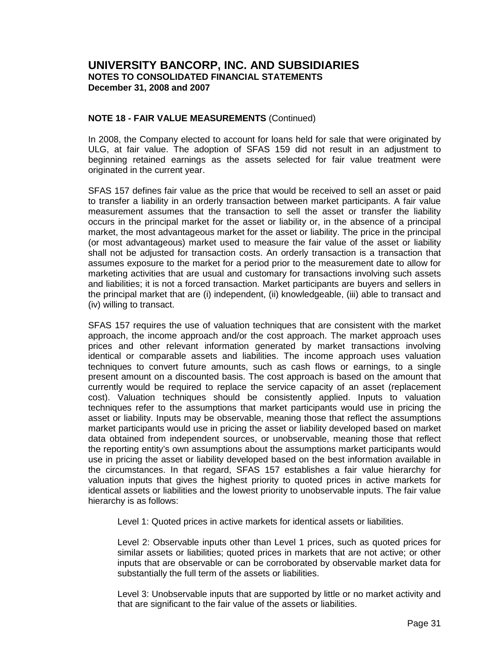## **NOTE 18 - FAIR VALUE MEASUREMENTS** (Continued)

In 2008, the Company elected to account for loans held for sale that were originated by ULG, at fair value. The adoption of SFAS 159 did not result in an adjustment to beginning retained earnings as the assets selected for fair value treatment were originated in the current year.

SFAS 157 defines fair value as the price that would be received to sell an asset or paid to transfer a liability in an orderly transaction between market participants. A fair value measurement assumes that the transaction to sell the asset or transfer the liability occurs in the principal market for the asset or liability or, in the absence of a principal market, the most advantageous market for the asset or liability. The price in the principal (or most advantageous) market used to measure the fair value of the asset or liability shall not be adjusted for transaction costs. An orderly transaction is a transaction that assumes exposure to the market for a period prior to the measurement date to allow for marketing activities that are usual and customary for transactions involving such assets and liabilities; it is not a forced transaction. Market participants are buyers and sellers in the principal market that are (i) independent, (ii) knowledgeable, (iii) able to transact and (iv) willing to transact.

SFAS 157 requires the use of valuation techniques that are consistent with the market approach, the income approach and/or the cost approach. The market approach uses prices and other relevant information generated by market transactions involving identical or comparable assets and liabilities. The income approach uses valuation techniques to convert future amounts, such as cash flows or earnings, to a single present amount on a discounted basis. The cost approach is based on the amount that currently would be required to replace the service capacity of an asset (replacement cost). Valuation techniques should be consistently applied. Inputs to valuation techniques refer to the assumptions that market participants would use in pricing the asset or liability. Inputs may be observable, meaning those that reflect the assumptions market participants would use in pricing the asset or liability developed based on market data obtained from independent sources, or unobservable, meaning those that reflect the reporting entity's own assumptions about the assumptions market participants would use in pricing the asset or liability developed based on the best information available in the circumstances. In that regard, SFAS 157 establishes a fair value hierarchy for valuation inputs that gives the highest priority to quoted prices in active markets for identical assets or liabilities and the lowest priority to unobservable inputs. The fair value hierarchy is as follows:

Level 1: Quoted prices in active markets for identical assets or liabilities.

Level 2: Observable inputs other than Level 1 prices, such as quoted prices for similar assets or liabilities; quoted prices in markets that are not active; or other inputs that are observable or can be corroborated by observable market data for substantially the full term of the assets or liabilities.

Level 3: Unobservable inputs that are supported by little or no market activity and that are significant to the fair value of the assets or liabilities.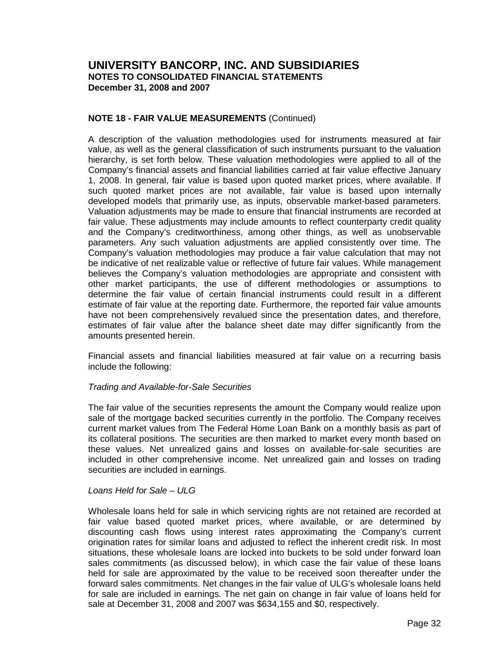## **NOTE 18 - FAIR VALUE MEASUREMENTS** (Continued)

A description of the valuation methodologies used for instruments measured at fair value, as well as the general classification of such instruments pursuant to the valuation hierarchy, is set forth below. These valuation methodologies were applied to all of the Company's financial assets and financial liabilities carried at fair value effective January 1, 2008. In general, fair value is based upon quoted market prices, where available. If such quoted market prices are not available, fair value is based upon internally developed models that primarily use, as inputs, observable market-based parameters. Valuation adjustments may be made to ensure that financial instruments are recorded at fair value. These adjustments may include amounts to reflect counterparty credit quality and the Company's creditworthiness, among other things, as well as unobservable parameters. Any such valuation adjustments are applied consistently over time. The Company's valuation methodologies may produce a fair value calculation that may not be indicative of net realizable value or reflective of future fair values. While management believes the Company's valuation methodologies are appropriate and consistent with other market participants, the use of different methodologies or assumptions to determine the fair value of certain financial instruments could result in a different estimate of fair value at the reporting date. Furthermore, the reported fair value amounts have not been comprehensively revalued since the presentation dates, and therefore, estimates of fair value after the balance sheet date may differ significantly from the amounts presented herein.

Financial assets and financial liabilities measured at fair value on a recurring basis include the following:

## Trading and Available-for-Sale Securities

The fair value of the securities represents the amount the Company would realize upon sale of the mortgage backed securities currently in the portfolio. The Company receives current market values from The Federal Home Loan Bank on a monthly basis as part of its collateral positions. The securities are then marked to market every month based on these values. Net unrealized gains and losses on available-for-sale securities are included in other comprehensive income. Net unrealized gain and losses on trading securities are included in earnings.

## Loans Held for Sale – ULG

Wholesale loans held for sale in which servicing rights are not retained are recorded at fair value based quoted market prices, where available, or are determined by discounting cash flows using interest rates approximating the Company's current origination rates for similar loans and adjusted to reflect the inherent credit risk. In most situations, these wholesale loans are locked into buckets to be sold under forward loan sales commitments (as discussed below), in which case the fair value of these loans held for sale are approximated by the value to be received soon thereafter under the forward sales commitments. Net changes in the fair value of ULG's wholesale loans held for sale are included in earnings. The net gain on change in fair value of loans held for sale at December 31, 2008 and 2007 was \$634,155 and \$0, respectively.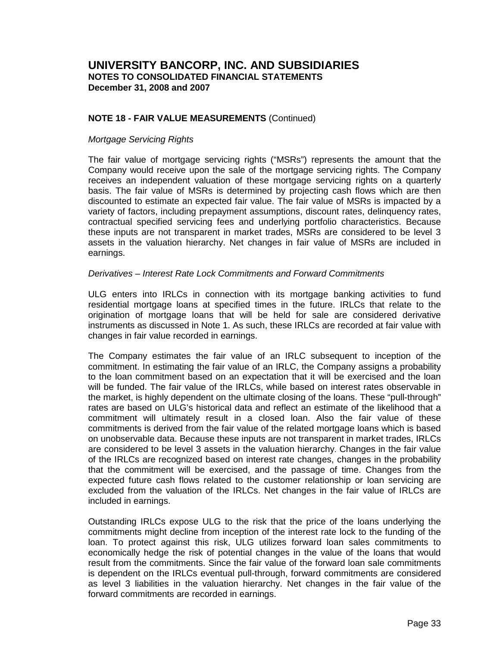## **NOTE 18 - FAIR VALUE MEASUREMENTS** (Continued)

#### Mortgage Servicing Rights

The fair value of mortgage servicing rights ("MSRs") represents the amount that the Company would receive upon the sale of the mortgage servicing rights. The Company receives an independent valuation of these mortgage servicing rights on a quarterly basis. The fair value of MSRs is determined by projecting cash flows which are then discounted to estimate an expected fair value. The fair value of MSRs is impacted by a variety of factors, including prepayment assumptions, discount rates, delinquency rates, contractual specified servicing fees and underlying portfolio characteristics. Because these inputs are not transparent in market trades, MSRs are considered to be level 3 assets in the valuation hierarchy. Net changes in fair value of MSRs are included in earnings.

#### Derivatives – Interest Rate Lock Commitments and Forward Commitments

ULG enters into IRLCs in connection with its mortgage banking activities to fund residential mortgage loans at specified times in the future. IRLCs that relate to the origination of mortgage loans that will be held for sale are considered derivative instruments as discussed in Note 1. As such, these IRLCs are recorded at fair value with changes in fair value recorded in earnings.

The Company estimates the fair value of an IRLC subsequent to inception of the commitment. In estimating the fair value of an IRLC, the Company assigns a probability to the loan commitment based on an expectation that it will be exercised and the loan will be funded. The fair value of the IRLCs, while based on interest rates observable in the market, is highly dependent on the ultimate closing of the loans. These "pull-through" rates are based on ULG's historical data and reflect an estimate of the likelihood that a commitment will ultimately result in a closed loan. Also the fair value of these commitments is derived from the fair value of the related mortgage loans which is based on unobservable data. Because these inputs are not transparent in market trades, IRLCs are considered to be level 3 assets in the valuation hierarchy. Changes in the fair value of the IRLCs are recognized based on interest rate changes, changes in the probability that the commitment will be exercised, and the passage of time. Changes from the expected future cash flows related to the customer relationship or loan servicing are excluded from the valuation of the IRLCs. Net changes in the fair value of IRLCs are included in earnings.

Outstanding IRLCs expose ULG to the risk that the price of the loans underlying the commitments might decline from inception of the interest rate lock to the funding of the loan. To protect against this risk, ULG utilizes forward loan sales commitments to economically hedge the risk of potential changes in the value of the loans that would result from the commitments. Since the fair value of the forward loan sale commitments is dependent on the IRLCs eventual pull-through, forward commitments are considered as level 3 liabilities in the valuation hierarchy. Net changes in the fair value of the forward commitments are recorded in earnings.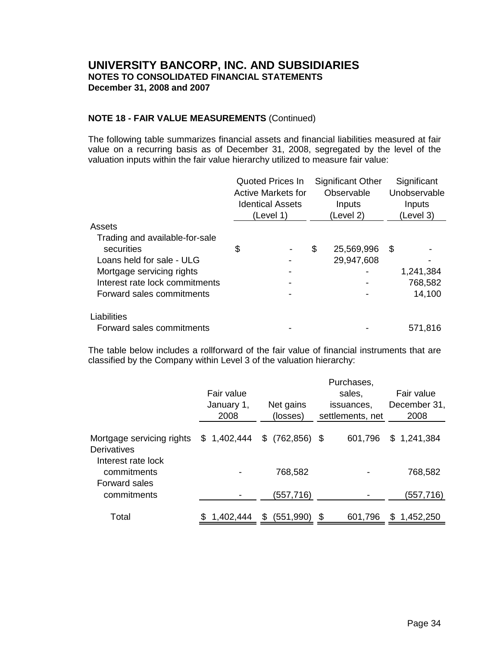## **NOTE 18 - FAIR VALUE MEASUREMENTS** (Continued)

The following table summarizes financial assets and financial liabilities measured at fair value on a recurring basis as of December 31, 2008, segregated by the level of the valuation inputs within the fair value hierarchy utilized to measure fair value:

|                                | <b>Quoted Prices In</b><br><b>Active Markets for</b><br><b>Identical Assets</b><br>(Level 1) | <b>Significant Other</b><br>Observable<br>Inputs<br>(Level 2) |   | Significant<br>Unobservable<br>Inputs<br>(Level 3) |  |  |
|--------------------------------|----------------------------------------------------------------------------------------------|---------------------------------------------------------------|---|----------------------------------------------------|--|--|
| Assets                         |                                                                                              |                                                               |   |                                                    |  |  |
| Trading and available-for-sale |                                                                                              |                                                               |   |                                                    |  |  |
| securities                     | \$                                                                                           | \$<br>25,569,996                                              | S |                                                    |  |  |
| Loans held for sale - ULG      |                                                                                              | 29,947,608                                                    |   |                                                    |  |  |
| Mortgage servicing rights      |                                                                                              |                                                               |   | 1,241,384                                          |  |  |
| Interest rate lock commitments |                                                                                              |                                                               |   | 768,582                                            |  |  |
| Forward sales commitments      |                                                                                              |                                                               |   | 14,100                                             |  |  |
| Liabilities                    |                                                                                              |                                                               |   |                                                    |  |  |
| Forward sales commitments      |                                                                                              |                                                               |   | 571,816                                            |  |  |

The table below includes a rollforward of the fair value of financial instruments that are classified by the Company within Level 3 of the valuation hierarchy:

|                                                           | Fair value<br>January 1,<br>2008 | Net gains<br>(losses) | Purchases,<br>sales.<br>issuances,<br>settlements, net | Fair value<br>December 31,<br>2008 |
|-----------------------------------------------------------|----------------------------------|-----------------------|--------------------------------------------------------|------------------------------------|
| Mortgage servicing rights<br>Derivatives                  | \$1,402,444                      | \$<br>$(762, 856)$ \$ | 601,796                                                | \$1,241,384                        |
| Interest rate lock<br>commitments<br><b>Forward sales</b> |                                  | 768,582               |                                                        | 768,582                            |
| commitments                                               |                                  | (557,716)             |                                                        | (557,716)                          |
| Total                                                     | 1,402,444                        | (551,990)             | \$<br>601,796                                          | 1,452,250<br>S                     |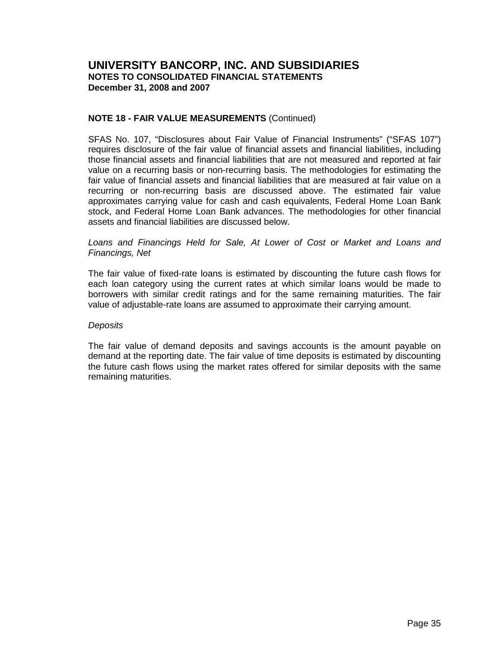## **NOTE 18 - FAIR VALUE MEASUREMENTS** (Continued)

SFAS No. 107, "Disclosures about Fair Value of Financial Instruments" ("SFAS 107") requires disclosure of the fair value of financial assets and financial liabilities, including those financial assets and financial liabilities that are not measured and reported at fair value on a recurring basis or non-recurring basis. The methodologies for estimating the fair value of financial assets and financial liabilities that are measured at fair value on a recurring or non-recurring basis are discussed above. The estimated fair value approximates carrying value for cash and cash equivalents, Federal Home Loan Bank stock, and Federal Home Loan Bank advances. The methodologies for other financial assets and financial liabilities are discussed below.

## Loans and Financings Held for Sale, At Lower of Cost or Market and Loans and Financings, Net

The fair value of fixed-rate loans is estimated by discounting the future cash flows for each loan category using the current rates at which similar loans would be made to borrowers with similar credit ratings and for the same remaining maturities. The fair value of adjustable-rate loans are assumed to approximate their carrying amount.

#### Deposits

The fair value of demand deposits and savings accounts is the amount payable on demand at the reporting date. The fair value of time deposits is estimated by discounting the future cash flows using the market rates offered for similar deposits with the same remaining maturities.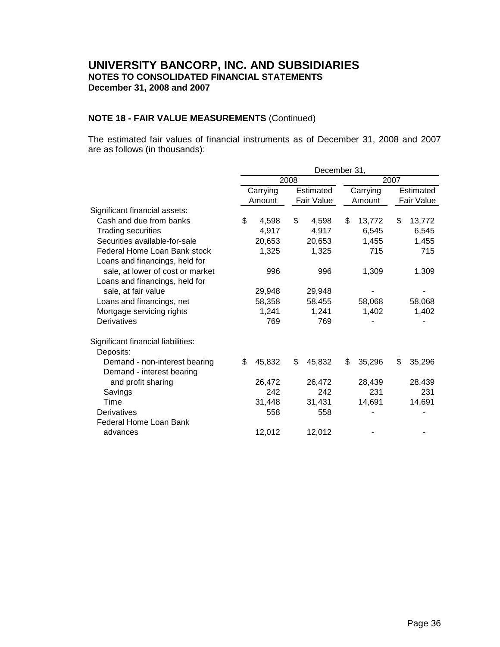# **NOTE 18 - FAIR VALUE MEASUREMENTS** (Continued)

The estimated fair values of financial instruments as of December 31, 2008 and 2007 are as follows (in thousands):

|                                    |              |      | December 31, |              |    |            |  |  |  |
|------------------------------------|--------------|------|--------------|--------------|----|------------|--|--|--|
|                                    |              | 2008 |              | 2007         |    |            |  |  |  |
|                                    | Carrying     |      | Estimated    | Carrying     |    | Estimated  |  |  |  |
|                                    | Amount       |      | Fair Value   | Amount       |    | Fair Value |  |  |  |
| Significant financial assets:      |              |      |              |              |    |            |  |  |  |
| Cash and due from banks            | \$<br>4,598  | \$   | 4,598        | \$<br>13,772 | \$ | 13,772     |  |  |  |
| <b>Trading securities</b>          | 4,917        |      | 4,917        | 6,545        |    | 6,545      |  |  |  |
| Securities available-for-sale      | 20,653       |      | 20,653       | 1,455        |    | 1,455      |  |  |  |
| Federal Home Loan Bank stock       | 1,325        |      | 1,325        | 715          |    | 715        |  |  |  |
| Loans and financings, held for     |              |      |              |              |    |            |  |  |  |
| sale, at lower of cost or market   | 996          |      | 996          | 1,309        |    | 1,309      |  |  |  |
| Loans and financings, held for     |              |      |              |              |    |            |  |  |  |
| sale, at fair value                | 29,948       |      | 29,948       |              |    |            |  |  |  |
| Loans and financings, net          | 58,358       |      | 58,455       | 58,068       |    | 58,068     |  |  |  |
| Mortgage servicing rights          | 1,241        |      | 1,241        | 1,402        |    | 1,402      |  |  |  |
| Derivatives                        | 769          |      | 769          |              |    |            |  |  |  |
| Significant financial liabilities: |              |      |              |              |    |            |  |  |  |
| Deposits:                          |              |      |              |              |    |            |  |  |  |
| Demand - non-interest bearing      | \$<br>45,832 | \$   | 45,832       | \$<br>35,296 | \$ | 35,296     |  |  |  |
| Demand - interest bearing          |              |      |              |              |    |            |  |  |  |
| and profit sharing                 | 26,472       |      | 26,472       | 28,439       |    | 28,439     |  |  |  |
| Savings                            | 242          |      | 242          | 231          |    | 231        |  |  |  |
| Time                               | 31,448       |      | 31,431       | 14,691       |    | 14,691     |  |  |  |
| <b>Derivatives</b>                 | 558          |      | 558          |              |    |            |  |  |  |
| Federal Home Loan Bank             |              |      |              |              |    |            |  |  |  |
| advances                           | 12,012       |      | 12,012       |              |    |            |  |  |  |
|                                    |              |      |              |              |    |            |  |  |  |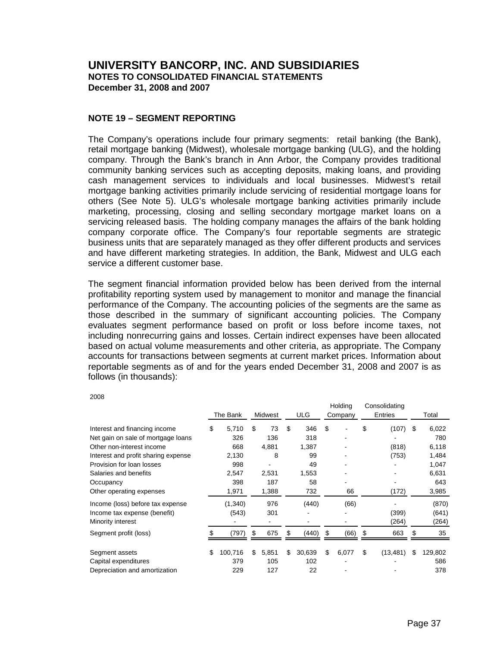## **NOTE 19 – SEGMENT REPORTING**

The Company's operations include four primary segments: retail banking (the Bank), retail mortgage banking (Midwest), wholesale mortgage banking (ULG), and the holding company. Through the Bank's branch in Ann Arbor, the Company provides traditional community banking services such as accepting deposits, making loans, and providing cash management services to individuals and local businesses. Midwest's retail mortgage banking activities primarily include servicing of residential mortgage loans for others (See Note 5). ULG's wholesale mortgage banking activities primarily include marketing, processing, closing and selling secondary mortgage market loans on a servicing released basis. The holding company manages the affairs of the bank holding company corporate office. The Company's four reportable segments are strategic business units that are separately managed as they offer different products and services and have different marketing strategies. In addition, the Bank, Midwest and ULG each service a different customer base.

The segment financial information provided below has been derived from the internal profitability reporting system used by management to monitor and manage the financial performance of the Company. The accounting policies of the segments are the same as those described in the summary of significant accounting policies. The Company evaluates segment performance based on profit or loss before income taxes, not including nonrecurring gains and losses. Certain indirect expenses have been allocated based on actual volume measurements and other criteria, as appropriate. The Company accounts for transactions between segments at current market prices. Information about reportable segments as of and for the years ended December 31, 2008 and 2007 is as follows (in thousands):

|                                     |               |             |              | Holding     | Consolidating   |               |
|-------------------------------------|---------------|-------------|--------------|-------------|-----------------|---------------|
|                                     | The Bank      | Midwest     | <b>ULG</b>   | Company     | Entries         | Total         |
| Interest and financing income       | \$<br>5,710   | \$<br>73    | \$<br>346    | \$          | \$<br>(107)     | \$<br>6,022   |
| Net gain on sale of mortgage loans  | 326           | 136         | 318          |             |                 | 780           |
| Other non-interest income           | 668           | 4,881       | 1,387        |             | (818)           | 6,118         |
| Interest and profit sharing expense | 2,130         | 8           | 99           |             | (753)           | 1,484         |
| Provision for loan losses           | 998           |             | 49           |             |                 | 1,047         |
| Salaries and benefits               | 2,547         | 2,531       | 1,553        |             |                 | 6,631         |
| Occupancy                           | 398           | 187         | 58           |             |                 | 643           |
| Other operating expenses            | 1,971         | 1,388       | 732          | 66          | (172)           | 3,985         |
| Income (loss) before tax expense    | (1, 340)      | 976         | (440)        | (66)        |                 | (870)         |
| Income tax expense (benefit)        | (543)         | 301         |              |             | (399)           | (641)         |
| Minority interest                   |               |             |              |             | (264)           | (264)         |
| Segment profit (loss)               | (797)         | \$<br>675   | \$<br>(440)  | \$<br>(66)  | \$<br>663       | \$<br>35      |
| Segment assets                      | \$<br>100,716 | \$<br>5,851 | \$<br>30,639 | \$<br>6,077 | \$<br>(13, 481) | \$<br>129,802 |
| Capital expenditures                | 379           | 105         | 102          |             |                 | 586           |
| Depreciation and amortization       | 229           | 127         | 22           |             |                 | 378           |

2008

Holding Consolidating